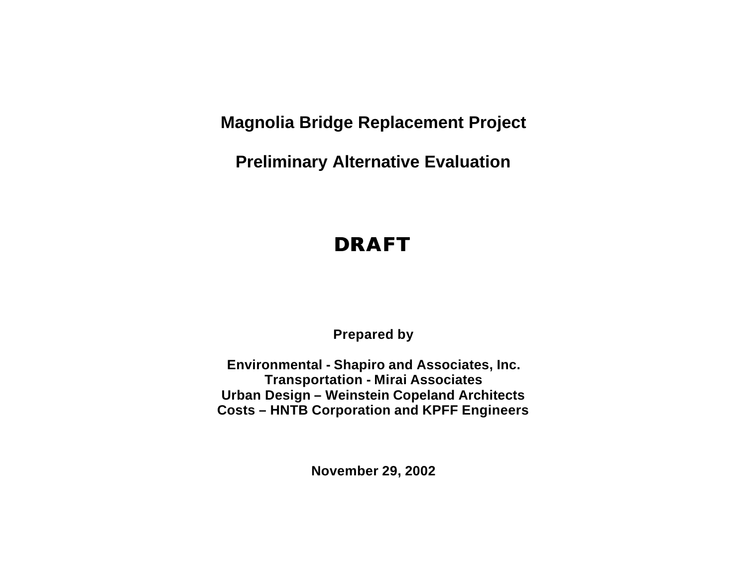**Magnolia Bridge Replacement Project**

**Preliminary Alternative Evaluation**

# **DRAFT**

**Prepared by**

**Environmental - Shapiro and Associates, Inc. Transportation - Mirai Associates Urban Design – Weinstein Copeland Architects Costs – HNTB Corporation and KPFF Engineers**

**November 29, 2002**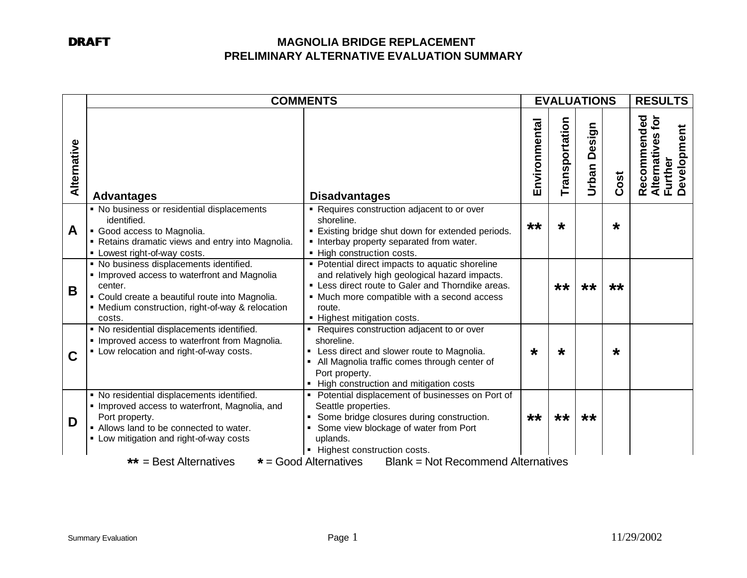|             | <b>COMMENTS</b>                                                                                                                                                                                                     | <b>EVALUATIONS</b>                                                                                                                                                                                                                             |               |                |                 | <b>RESULTS</b> |                                                           |
|-------------|---------------------------------------------------------------------------------------------------------------------------------------------------------------------------------------------------------------------|------------------------------------------------------------------------------------------------------------------------------------------------------------------------------------------------------------------------------------------------|---------------|----------------|-----------------|----------------|-----------------------------------------------------------|
| Alternative | <b>Advantages</b>                                                                                                                                                                                                   | <b>Disadvantages</b>                                                                                                                                                                                                                           | Environmental | Transportation | Design<br>Urban | Cost           | Recommended<br>Alternatives for<br>Further<br>Development |
| A           | • No business or residential displacements<br>identified.<br>Good access to Magnolia.<br>Retains dramatic views and entry into Magnolia.<br>• Lowest right-of-way costs.                                            | • Requires construction adjacent to or over<br>shoreline.<br>. Existing bridge shut down for extended periods.<br>• Interbay property separated from water.<br>- High construction costs.                                                      | $***$         | $\star$        |                 | $\star$        |                                                           |
| B           | • No business displacements identified.<br>• Improved access to waterfront and Magnolia<br>center.<br>• Could create a beautiful route into Magnolia.<br>• Medium construction, right-of-way & relocation<br>costs. | • Potential direct impacts to aquatic shoreline<br>and relatively high geological hazard impacts.<br>• Less direct route to Galer and Thorndike areas.<br>• Much more compatible with a second access<br>route.<br>- Highest mitigation costs. |               | $***$          | $***$           | $**$           |                                                           |
| C           | • No residential displacements identified.<br>• Improved access to waterfront from Magnolia.<br>• Low relocation and right-of-way costs.                                                                            | • Requires construction adjacent to or over<br>shoreline.<br>Less direct and slower route to Magnolia.<br>• All Magnolia traffic comes through center of<br>Port property.<br>• High construction and mitigation costs                         | *             | $\star$        |                 | $\star$        |                                                           |
| D           | • No residential displacements identified.<br>• Improved access to waterfront, Magnolia, and<br>Port property.<br>• Allows land to be connected to water.<br>• Low mitigation and right-of-way costs                | Potential displacement of businesses on Port of<br>Seattle properties.<br>Some bridge closures during construction.<br>Some view blockage of water from Port<br>uplands.<br>- Highest construction costs.                                      | $***$         | $***$          | $***$           |                |                                                           |
|             | $**$ = Best Alternatives                                                                                                                                                                                            | $* = Good$ Alternatives<br><b>Blank = Not Recommend Alternatives</b>                                                                                                                                                                           |               |                |                 |                |                                                           |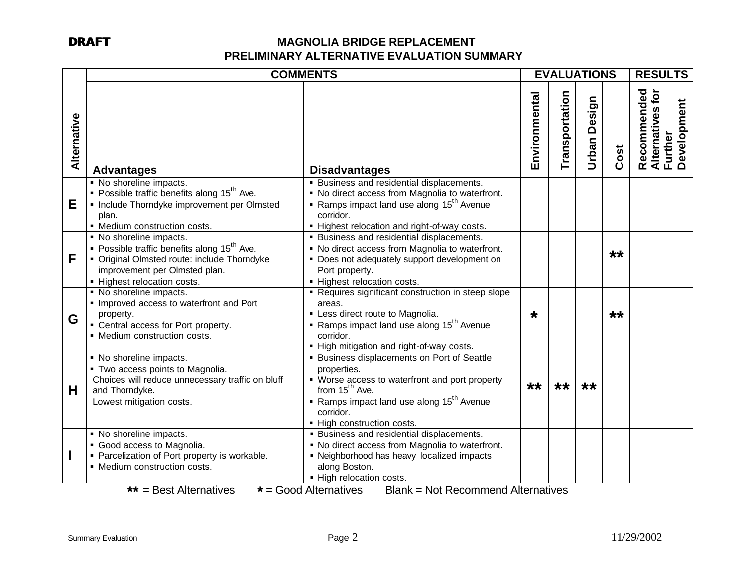|             | <b>COMMENTS</b>                                                                                                                                                                                   |                                                                                                                                                                                                                                                                      | <b>EVALUATIONS</b> | <b>RESULTS</b> |                     |       |                                                           |
|-------------|---------------------------------------------------------------------------------------------------------------------------------------------------------------------------------------------------|----------------------------------------------------------------------------------------------------------------------------------------------------------------------------------------------------------------------------------------------------------------------|--------------------|----------------|---------------------|-------|-----------------------------------------------------------|
| Alternative | <b>Advantages</b>                                                                                                                                                                                 | <b>Disadvantages</b>                                                                                                                                                                                                                                                 | Environmental      | Transportation | <b>Urban Design</b> | Cost  | Recommended<br>Alternatives for<br>Development<br>Further |
| Е           | • No shoreline impacts.<br>• Possible traffic benefits along 15 <sup>th</sup> Ave.<br>• Include Thorndyke improvement per Olmsted<br>plan.<br>• Medium construction costs.                        | <b>Exercise Business and residential displacements.</b><br>• No direct access from Magnolia to waterfront.<br>Ramps impact land use along 15 <sup>th</sup> Avenue<br>corridor.<br>- Highest relocation and right-of-way costs.                                       |                    |                |                     |       |                                                           |
| F           | • No shoreline impacts.<br>• Possible traffic benefits along 15 <sup>th</sup> Ave.<br>• Original Olmsted route: include Thorndyke<br>improvement per Olmsted plan.<br>• Highest relocation costs. | · Business and residential displacements.<br>• No direct access from Magnolia to waterfront.<br>• Does not adequately support development on<br>Port property.<br>- Highest relocation costs.                                                                        |                    |                |                     | $***$ |                                                           |
| G           | • No shoreline impacts.<br>• Improved access to waterfront and Port<br>property.<br>• Central access for Port property.<br>• Medium construction costs.                                           | • Requires significant construction in steep slope<br>areas.<br>• Less direct route to Magnolia.<br>Ramps impact land use along 15 <sup>th</sup> Avenue<br>corridor.<br>- High mitigation and right-of-way costs.                                                    | $\star$            |                |                     | **    |                                                           |
| H           | • No shoreline impacts.<br>• Two access points to Magnolia.<br>Choices will reduce unnecessary traffic on bluff<br>and Thorndyke.<br>Lowest mitigation costs.                                     | <b>Example:</b> Business displacements on Port of Seattle<br>properties.<br>• Worse access to waterfront and port property<br>from 15 <sup>th</sup> Ave.<br>Ramps impact land use along 15 <sup>th</sup> Avenue<br>corridor.<br>- High construction costs.           | **                 | $***$          | $***$               |       |                                                           |
|             | • No shoreline impacts.<br>Good access to Magnolia.<br>• Parcelization of Port property is workable.<br>• Medium construction costs.<br>$**$ = Best Alternatives                                  | <b>Business and residential displacements.</b><br>. No direct access from Magnolia to waterfront.<br>• Neighborhood has heavy localized impacts<br>along Boston.<br>• High relocation costs.<br>$* = Good$ Alternatives<br><b>Blank = Not Recommend Alternatives</b> |                    |                |                     |       |                                                           |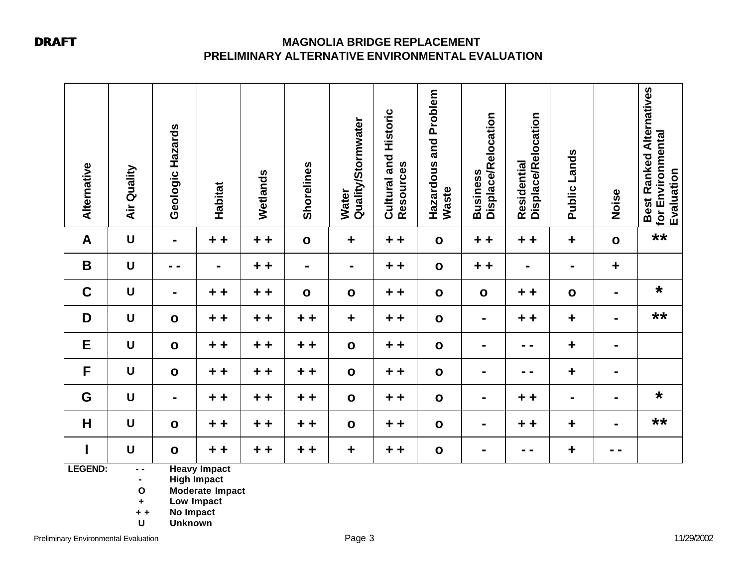| Alternative    | Air Quality              | Geologic Hazards | Habitat             | Wetlands | <b>Shorelines</b> | Quality/Stormwater<br>Water | Cultural and Historic<br>Resources | Hazardous and Problem<br>Waste | Displace/Relocation<br><b>Business</b> | Displace/Relocation<br>Residential | <b>Public Lands</b> | Noise                | <b>Best Ranked Alternatives</b><br>for Environmental<br>Evaluation |
|----------------|--------------------------|------------------|---------------------|----------|-------------------|-----------------------------|------------------------------------|--------------------------------|----------------------------------------|------------------------------------|---------------------|----------------------|--------------------------------------------------------------------|
| A              | $\pmb{\pmb{\pmb{\cup}}}$ | $\blacksquare$   | $+ +$               | $+ +$    | $\mathbf{o}$      | $\ddagger$                  | $+ +$                              | $\mathbf{o}$                   | $+ +$                                  | $+ +$                              | ÷                   | $\mathbf{o}$         | $***$                                                              |
| B              | $\mathsf{U}$             | $\sim$ $\sim$    | $\blacksquare$      | $+ +$    | $\blacksquare$    | $\blacksquare$              | $+ +$                              | $\mathbf{o}$                   | $+ +$                                  | $\blacksquare$                     | $\blacksquare$      | $\ddot{\phantom{1}}$ |                                                                    |
| $\mathbf C$    | $\mathsf{U}$             | $\blacksquare$   | $+ +$               | $+ +$    | $\mathbf{o}$      | $\mathbf{o}$                | $+ +$                              | $\mathbf{o}$                   | $\mathbf{o}$                           | $+ +$                              | $\mathbf{o}$        | $\blacksquare$       | $\star$                                                            |
| D              | $\cup$                   | $\mathbf{o}$     | $+ +$               | $+ +$    | $+ +$             | $\ddagger$                  | $+ +$                              | $\mathbf{o}$                   | $\blacksquare$                         | $+ +$                              | $\ddagger$          | н                    | $***$                                                              |
| E              | $\cup$                   | $\mathbf{o}$     | $+ +$               | $+ +$    | $+ +$             | $\mathbf{o}$                | $+ +$                              | $\mathbf{o}$                   |                                        | $\sim$ $\sim$                      | ÷                   | $\blacksquare$       |                                                                    |
| F              | $\cup$                   | $\mathbf{o}$     | $+ +$               | $+ +$    | $+ +$             | $\mathbf{o}$                | $+ +$                              | $\mathbf{o}$                   |                                        | - -                                | ÷                   |                      |                                                                    |
| G              | $\cup$                   | $\blacksquare$   | $+ +$               | $+ +$    | $+ +$             | $\mathbf{o}$                | $+ +$                              | $\mathbf{o}$                   |                                        | $+ +$                              | $\blacksquare$      |                      | $\star$                                                            |
| H              | $\cup$                   | $\mathbf{o}$     | $+ +$               | $+ +$    | $+ +$             | $\mathbf{o}$                | $+ +$                              | $\mathbf{o}$                   | $\blacksquare$                         | $+ +$                              | ٠                   |                      | $***$                                                              |
|                | $\cup$                   | $\mathbf{o}$     | $+ +$               | $+ +$    | $+ +$             | $\ddot{}$                   | $+ +$                              | $\mathbf{o}$                   |                                        | $\sim$ $\sim$                      | ÷                   | - -                  |                                                                    |
| <b>LEGEND:</b> | $\sim$ $\sim$            |                  | <b>Heavy Impact</b> |          |                   |                             |                                    |                                |                                        |                                    |                     |                      |                                                                    |

**- High Impact**

 **O Moderate Impact**

**+ Low Impact**

**+ + No Impact**

 **U Unknown**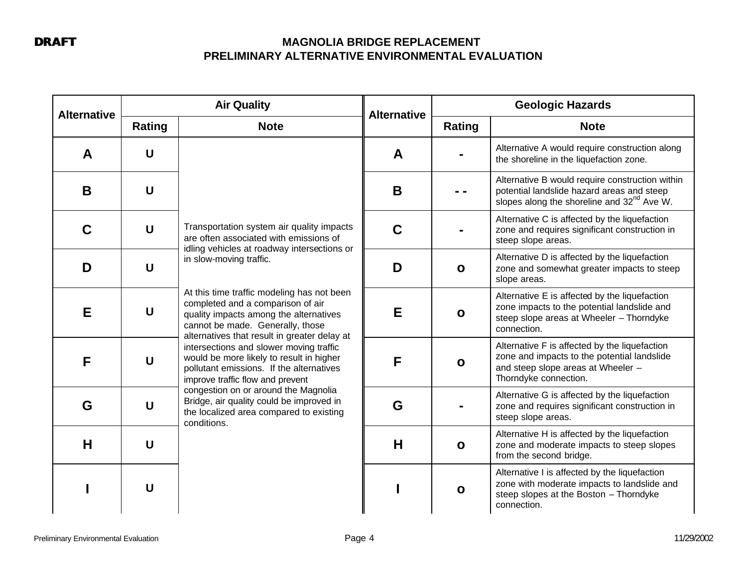| <b>Alternative</b> |                | <b>Air Quality</b>                                                                                                                                                                                            | <b>Alternative</b> | <b>Geologic Hazards</b> |                                                                                                                                                             |  |  |  |
|--------------------|----------------|---------------------------------------------------------------------------------------------------------------------------------------------------------------------------------------------------------------|--------------------|-------------------------|-------------------------------------------------------------------------------------------------------------------------------------------------------------|--|--|--|
|                    | Rating         | <b>Note</b>                                                                                                                                                                                                   |                    | Rating                  | <b>Note</b>                                                                                                                                                 |  |  |  |
| A                  | $\mathbf U$    |                                                                                                                                                                                                               | A                  |                         | Alternative A would require construction along<br>the shoreline in the liquefaction zone.                                                                   |  |  |  |
| B                  | $\mathbf U$    |                                                                                                                                                                                                               | B                  |                         | Alternative B would require construction within<br>potential landslide hazard areas and steep<br>slopes along the shoreline and 32 <sup>nd</sup> Ave W.     |  |  |  |
| $\mathbf C$        | $\mathbf U$    | Transportation system air quality impacts<br>are often associated with emissions of<br>idling vehicles at roadway intersections or                                                                            | C                  |                         | Alternative C is affected by the liquefaction<br>zone and requires significant construction in<br>steep slope areas.                                        |  |  |  |
| D                  | $\mathbf U$    | in slow-moving traffic.                                                                                                                                                                                       | D                  | $\mathbf{o}$            | Alternative D is affected by the liquefaction<br>zone and somewhat greater impacts to steep<br>slope areas.                                                 |  |  |  |
| E                  | $\mathbf U$    | At this time traffic modeling has not been<br>completed and a comparison of air<br>quality impacts among the alternatives<br>cannot be made. Generally, those<br>alternatives that result in greater delay at | Е                  | $\mathbf{o}$            | Alternative E is affected by the liquefaction<br>zone impacts to the potential landslide and<br>steep slope areas at Wheeler - Thorndyke<br>connection.     |  |  |  |
| F                  | $\overline{U}$ | intersections and slower moving traffic<br>would be more likely to result in higher<br>pollutant emissions. If the alternatives<br>improve traffic flow and prevent                                           | F                  | $\mathbf{o}$            | Alternative F is affected by the liquefaction<br>zone and impacts to the potential landslide<br>and steep slope areas at Wheeler -<br>Thorndyke connection. |  |  |  |
| G                  | $\mathbf U$    | congestion on or around the Magnolia<br>Bridge, air quality could be improved in<br>the localized area compared to existing<br>conditions.                                                                    | G                  |                         | Alternative G is affected by the liquefaction<br>zone and requires significant construction in<br>steep slope areas.                                        |  |  |  |
| H                  | $\mathbf U$    |                                                                                                                                                                                                               | H                  | $\mathbf{o}$            | Alternative H is affected by the liquefaction<br>zone and moderate impacts to steep slopes<br>from the second bridge.                                       |  |  |  |
|                    | $\mathbf U$    |                                                                                                                                                                                                               |                    | $\mathbf{o}$            | Alternative I is affected by the liquefaction<br>zone with moderate impacts to landslide and<br>steep slopes at the Boston - Thorndyke<br>connection.       |  |  |  |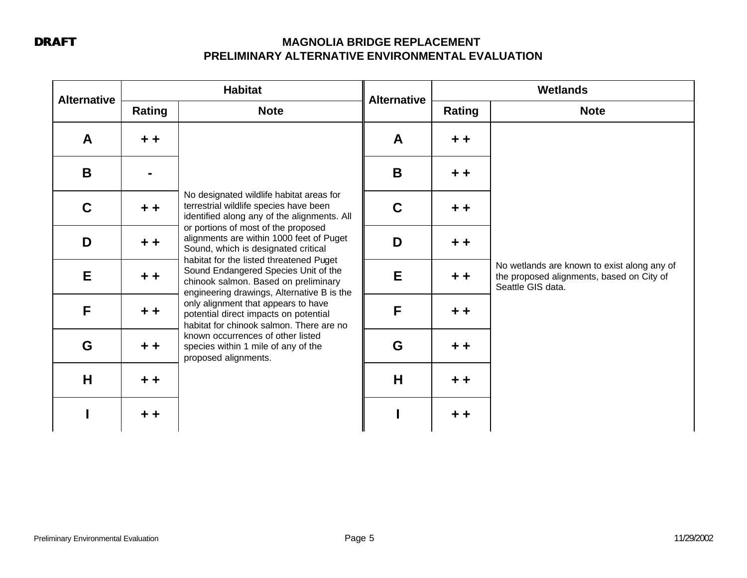| <b>Alternative</b> |               | <b>Habitat</b>                                                                                                                                                        | <b>Alternative</b> | <b>Wetlands</b> |                                                                                                               |  |  |  |
|--------------------|---------------|-----------------------------------------------------------------------------------------------------------------------------------------------------------------------|--------------------|-----------------|---------------------------------------------------------------------------------------------------------------|--|--|--|
|                    | <b>Rating</b> | <b>Note</b>                                                                                                                                                           |                    | <b>Rating</b>   | <b>Note</b>                                                                                                   |  |  |  |
| A                  | $+ +$         |                                                                                                                                                                       | $\mathsf{A}$       | $+ +$           |                                                                                                               |  |  |  |
| B                  |               |                                                                                                                                                                       | B                  | $+ +$           |                                                                                                               |  |  |  |
| $\mathbf C$        | $+ +$         | No designated wildlife habitat areas for<br>terrestrial wildlife species have been<br>identified along any of the alignments. All                                     | $\mathbf C$        | $+ +$           |                                                                                                               |  |  |  |
| D                  | $+ +$         | or portions of most of the proposed<br>alignments are within 1000 feet of Puget<br>Sound, which is designated critical                                                | D                  | $+ +$           |                                                                                                               |  |  |  |
| E                  | $+ +$         | habitat for the listed threatened Puget<br>Sound Endangered Species Unit of the<br>chinook salmon. Based on preliminary<br>engineering drawings, Alternative B is the | E                  | $+ +$           | No wetlands are known to exist along any of<br>the proposed alignments, based on City of<br>Seattle GIS data. |  |  |  |
| F                  | $+ +$         | only alignment that appears to have<br>potential direct impacts on potential<br>habitat for chinook salmon. There are no                                              | F                  | $+ +$           |                                                                                                               |  |  |  |
| G                  | $+ +$         | known occurrences of other listed<br>species within 1 mile of any of the<br>proposed alignments.                                                                      | G                  | $+ +$           |                                                                                                               |  |  |  |
| H                  | $+ +$         |                                                                                                                                                                       | H                  | $+ +$           |                                                                                                               |  |  |  |
|                    | $+ +$         |                                                                                                                                                                       |                    | $+ +$           |                                                                                                               |  |  |  |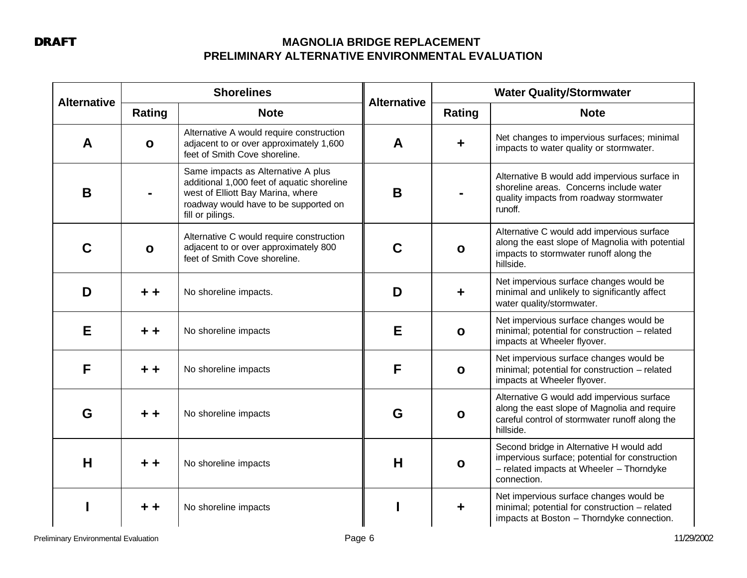| <b>Alternative</b> |              | <b>Shorelines</b>                                                                                                                                                                  | <b>Alternative</b> | <b>Water Quality/Stormwater</b> |                                                                                                                                                           |  |  |  |
|--------------------|--------------|------------------------------------------------------------------------------------------------------------------------------------------------------------------------------------|--------------------|---------------------------------|-----------------------------------------------------------------------------------------------------------------------------------------------------------|--|--|--|
|                    | Rating       | <b>Note</b>                                                                                                                                                                        |                    | Rating                          | <b>Note</b>                                                                                                                                               |  |  |  |
| A                  | $\mathbf{o}$ | Alternative A would require construction<br>adjacent to or over approximately 1,600<br>feet of Smith Cove shoreline.                                                               | A                  | $\ddot{\phantom{1}}$            | Net changes to impervious surfaces; minimal<br>impacts to water quality or stormwater.                                                                    |  |  |  |
| B                  |              | Same impacts as Alternative A plus<br>additional 1,000 feet of aquatic shoreline<br>west of Elliott Bay Marina, where<br>roadway would have to be supported on<br>fill or pilings. | B                  |                                 | Alternative B would add impervious surface in<br>shoreline areas. Concerns include water<br>quality impacts from roadway stormwater<br>runoff.            |  |  |  |
| C                  | $\mathbf{o}$ | Alternative C would require construction<br>adjacent to or over approximately 800<br>feet of Smith Cove shoreline.                                                                 | C                  | $\mathbf{o}$                    | Alternative C would add impervious surface<br>along the east slope of Magnolia with potential<br>impacts to stormwater runoff along the<br>hillside.      |  |  |  |
| D                  | $+ +$        | No shoreline impacts.                                                                                                                                                              | D                  | $\ddot{\phantom{1}}$            | Net impervious surface changes would be<br>minimal and unlikely to significantly affect<br>water quality/stormwater.                                      |  |  |  |
| Е                  | $+ +$        | No shoreline impacts                                                                                                                                                               | Е                  | $\mathbf{o}$                    | Net impervious surface changes would be<br>minimal; potential for construction - related<br>impacts at Wheeler flyover.                                   |  |  |  |
| F                  | + +          | No shoreline impacts                                                                                                                                                               | F                  | $\mathbf{o}$                    | Net impervious surface changes would be<br>minimal; potential for construction - related<br>impacts at Wheeler flyover.                                   |  |  |  |
| G                  | + +          | No shoreline impacts                                                                                                                                                               | G                  | $\mathbf{o}$                    | Alternative G would add impervious surface<br>along the east slope of Magnolia and require<br>careful control of stormwater runoff along the<br>hillside. |  |  |  |
| H                  | + +          | No shoreline impacts                                                                                                                                                               | H                  | $\mathbf{o}$                    | Second bridge in Alternative H would add<br>impervious surface; potential for construction<br>- related impacts at Wheeler - Thorndyke<br>connection.     |  |  |  |
|                    | + +          | No shoreline impacts                                                                                                                                                               |                    | ٠                               | Net impervious surface changes would be<br>minimal; potential for construction - related<br>impacts at Boston - Thorndyke connection.                     |  |  |  |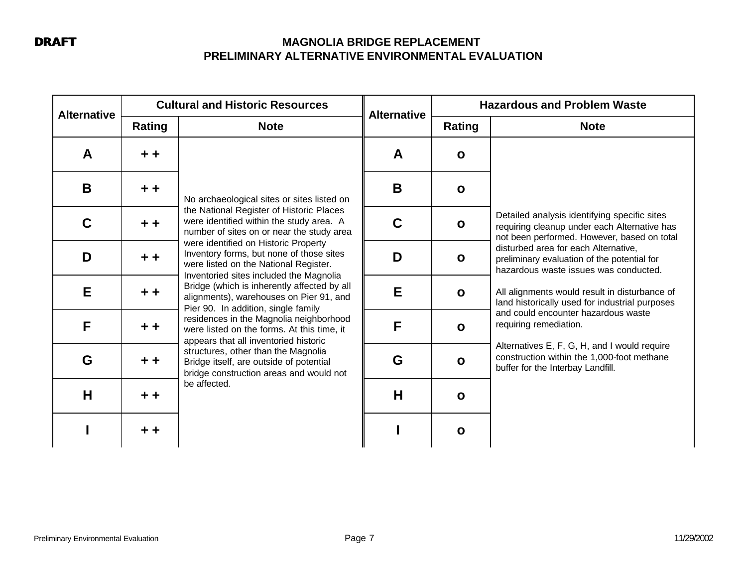| <b>Alternative</b> |        | <b>Cultural and Historic Resources</b>                                                                                                                                   | <b>Alternative</b> | <b>Hazardous and Problem Waste</b> |                                                                                                                                             |  |  |  |
|--------------------|--------|--------------------------------------------------------------------------------------------------------------------------------------------------------------------------|--------------------|------------------------------------|---------------------------------------------------------------------------------------------------------------------------------------------|--|--|--|
|                    | Rating | <b>Note</b>                                                                                                                                                              |                    | Rating                             | <b>Note</b>                                                                                                                                 |  |  |  |
| A                  | + +    |                                                                                                                                                                          | A                  | $\mathbf{o}$                       |                                                                                                                                             |  |  |  |
| B                  | $+ +$  | No archaeological sites or sites listed on                                                                                                                               | B                  | $\mathbf{o}$                       |                                                                                                                                             |  |  |  |
| C                  | $+ +$  | the National Register of Historic Places<br>were identified within the study area. A<br>number of sites on or near the study area                                        | $\mathbf C$        | $\mathbf{o}$                       | Detailed analysis identifying specific sites<br>requiring cleanup under each Alternative has<br>not been performed. However, based on total |  |  |  |
| D                  | $+ +$  | were identified on Historic Property<br>Inventory forms, but none of those sites<br>were listed on the National Register.                                                | D                  | $\mathbf{o}$                       | disturbed area for each Alternative,<br>preliminary evaluation of the potential for<br>hazardous waste issues was conducted.                |  |  |  |
| E                  | $+ +$  | Inventoried sites included the Magnolia<br>Bridge (which is inherently affected by all<br>alignments), warehouses on Pier 91, and<br>Pier 90. In addition, single family | E                  | $\mathbf{o}$                       | All alignments would result in disturbance of<br>land historically used for industrial purposes                                             |  |  |  |
| F                  | $+ +$  | residences in the Magnolia neighborhood<br>were listed on the forms. At this time, it<br>appears that all inventoried historic                                           | F                  | $\mathbf{o}$                       | and could encounter hazardous waste<br>requiring remediation.                                                                               |  |  |  |
| G                  | $+ +$  | structures, other than the Magnolia<br>Bridge itself, are outside of potential<br>bridge construction areas and would not                                                | G                  | $\mathbf{o}$                       | Alternatives E, F, G, H, and I would require<br>construction within the 1,000-foot methane<br>buffer for the Interbay Landfill.             |  |  |  |
| H                  | $+ +$  | be affected.                                                                                                                                                             | H                  | $\mathbf{o}$                       |                                                                                                                                             |  |  |  |
|                    | $+ +$  |                                                                                                                                                                          |                    | $\mathbf{o}$                       |                                                                                                                                             |  |  |  |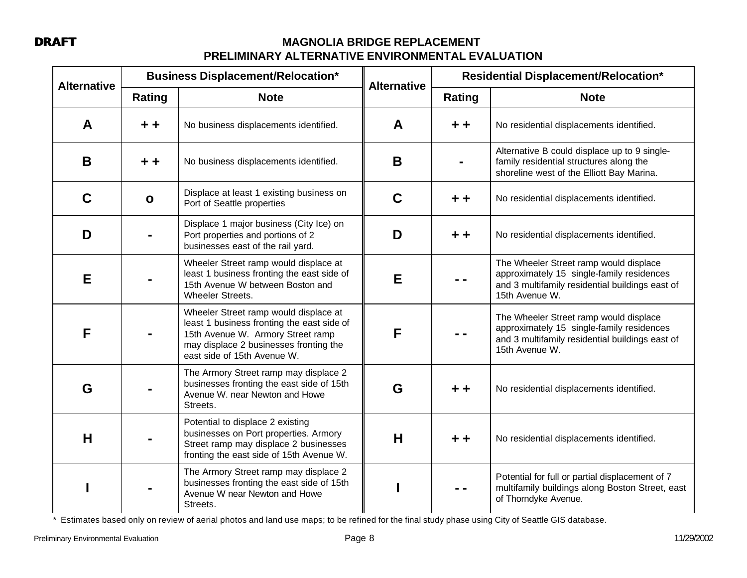| <b>Alternative</b> |              | <b>Business Displacement/Relocation*</b>                                                                                                                                                          | <b>Alternative</b> | Residential Displacement/Relocation* |                                                                                                                                                          |  |  |
|--------------------|--------------|---------------------------------------------------------------------------------------------------------------------------------------------------------------------------------------------------|--------------------|--------------------------------------|----------------------------------------------------------------------------------------------------------------------------------------------------------|--|--|
|                    | Rating       | <b>Note</b>                                                                                                                                                                                       |                    | Rating                               | <b>Note</b>                                                                                                                                              |  |  |
| A                  | $+ +$        | No business displacements identified.                                                                                                                                                             | A                  | $+ +$                                | No residential displacements identified.                                                                                                                 |  |  |
| B                  | + +          | No business displacements identified.                                                                                                                                                             | B                  |                                      | Alternative B could displace up to 9 single-<br>family residential structures along the<br>shoreline west of the Elliott Bay Marina.                     |  |  |
| C                  | $\mathbf{o}$ | Displace at least 1 existing business on<br>Port of Seattle properties                                                                                                                            | $\mathbf C$        | + +                                  | No residential displacements identified.                                                                                                                 |  |  |
| D                  |              | Displace 1 major business (City Ice) on<br>Port properties and portions of 2<br>businesses east of the rail yard.                                                                                 | D                  | + +                                  | No residential displacements identified.                                                                                                                 |  |  |
| E                  |              | Wheeler Street ramp would displace at<br>least 1 business fronting the east side of<br>15th Avenue W between Boston and<br><b>Wheeler Streets.</b>                                                | E                  |                                      | The Wheeler Street ramp would displace<br>approximately 15 single-family residences<br>and 3 multifamily residential buildings east of<br>15th Avenue W. |  |  |
| F                  |              | Wheeler Street ramp would displace at<br>least 1 business fronting the east side of<br>15th Avenue W. Armory Street ramp<br>may displace 2 businesses fronting the<br>east side of 15th Avenue W. | F                  |                                      | The Wheeler Street ramp would displace<br>approximately 15 single-family residences<br>and 3 multifamily residential buildings east of<br>15th Avenue W. |  |  |
| G                  |              | The Armory Street ramp may displace 2<br>businesses fronting the east side of 15th<br>Avenue W. near Newton and Howe<br>Streets.                                                                  | G                  | $+ +$                                | No residential displacements identified.                                                                                                                 |  |  |
| Н                  |              | Potential to displace 2 existing<br>businesses on Port properties. Armory<br>Street ramp may displace 2 businesses<br>fronting the east side of 15th Avenue W.                                    | H                  | $+ +$                                | No residential displacements identified.                                                                                                                 |  |  |
|                    |              | The Armory Street ramp may displace 2<br>businesses fronting the east side of 15th<br>Avenue W near Newton and Howe<br>Streets.                                                                   |                    |                                      | Potential for full or partial displacement of 7<br>multifamily buildings along Boston Street, east<br>of Thorndyke Avenue.                               |  |  |

\* Estimates based only on review of aerial photos and land use maps; to be refined for the final study phase using City of Seattle GIS database.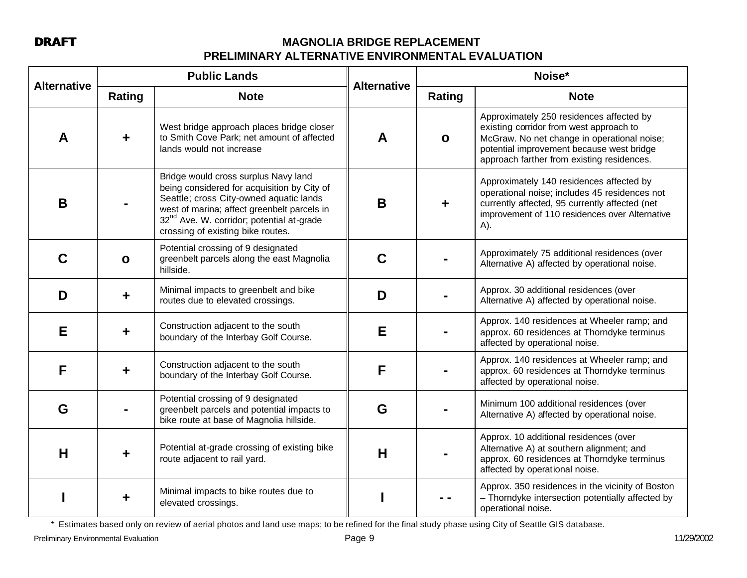| <b>Alternative</b> |              | <b>Public Lands</b>                                                                                                                                                                                                                                                         | <b>Alternative</b> |              | Noise*                                                                                                                                                                                                                        |  |  |  |  |
|--------------------|--------------|-----------------------------------------------------------------------------------------------------------------------------------------------------------------------------------------------------------------------------------------------------------------------------|--------------------|--------------|-------------------------------------------------------------------------------------------------------------------------------------------------------------------------------------------------------------------------------|--|--|--|--|
|                    | Rating       | <b>Note</b>                                                                                                                                                                                                                                                                 |                    | Rating       | <b>Note</b>                                                                                                                                                                                                                   |  |  |  |  |
| A                  | ╋            | West bridge approach places bridge closer<br>to Smith Cove Park; net amount of affected<br>lands would not increase                                                                                                                                                         | A                  | $\mathbf{o}$ | Approximately 250 residences affected by<br>existing corridor from west approach to<br>McGraw. No net change in operational noise;<br>potential improvement because west bridge<br>approach farther from existing residences. |  |  |  |  |
| B                  |              | Bridge would cross surplus Navy land<br>being considered for acquisition by City of<br>Seattle; cross City-owned aquatic lands<br>west of marina; affect greenbelt parcels in<br>32 <sup>nd</sup> Ave. W. corridor; potential at-grade<br>crossing of existing bike routes. | B                  |              | Approximately 140 residences affected by<br>operational noise; includes 45 residences not<br>currently affected, 95 currently affected (net<br>improvement of 110 residences over Alternative<br>A).                          |  |  |  |  |
| C                  | $\mathbf{o}$ | Potential crossing of 9 designated<br>greenbelt parcels along the east Magnolia<br>hillside.                                                                                                                                                                                | C                  |              | Approximately 75 additional residences (over<br>Alternative A) affected by operational noise.                                                                                                                                 |  |  |  |  |
| D                  | ٠            | Minimal impacts to greenbelt and bike<br>routes due to elevated crossings.                                                                                                                                                                                                  | D                  |              | Approx. 30 additional residences (over<br>Alternative A) affected by operational noise.                                                                                                                                       |  |  |  |  |
| Е                  | ÷            | Construction adjacent to the south<br>boundary of the Interbay Golf Course.                                                                                                                                                                                                 | E                  |              | Approx. 140 residences at Wheeler ramp; and<br>approx. 60 residences at Thorndyke terminus<br>affected by operational noise.                                                                                                  |  |  |  |  |
| F                  | ٠            | Construction adjacent to the south<br>boundary of the Interbay Golf Course.                                                                                                                                                                                                 | F                  |              | Approx. 140 residences at Wheeler ramp; and<br>approx. 60 residences at Thorndyke terminus<br>affected by operational noise.                                                                                                  |  |  |  |  |
| G                  |              | Potential crossing of 9 designated<br>greenbelt parcels and potential impacts to<br>bike route at base of Magnolia hillside.                                                                                                                                                | G                  |              | Minimum 100 additional residences (over<br>Alternative A) affected by operational noise.                                                                                                                                      |  |  |  |  |
| H                  | ÷            | Potential at-grade crossing of existing bike<br>route adjacent to rail yard.                                                                                                                                                                                                | Н                  |              | Approx. 10 additional residences (over<br>Alternative A) at southern alignment; and<br>approx. 60 residences at Thorndyke terminus<br>affected by operational noise.                                                          |  |  |  |  |
|                    |              | Minimal impacts to bike routes due to<br>elevated crossings.                                                                                                                                                                                                                |                    |              | Approx. 350 residences in the vicinity of Boston<br>- Thorndyke intersection potentially affected by<br>operational noise.                                                                                                    |  |  |  |  |

\* Estimates based only on review of aerial photos and land use maps; to be refined for the final study phase using City of Seattle GIS database.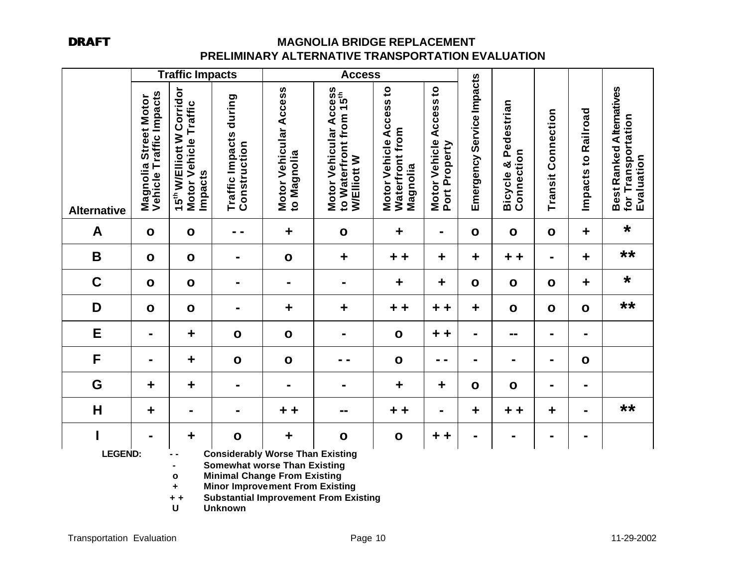|                    |                                                  | <b>Traffic Impacts</b>                                                    |                                           |                                              | <b>Access</b>                                                                |                                                        |                                             |                           |                                    |                           |                      |                                                                     |
|--------------------|--------------------------------------------------|---------------------------------------------------------------------------|-------------------------------------------|----------------------------------------------|------------------------------------------------------------------------------|--------------------------------------------------------|---------------------------------------------|---------------------------|------------------------------------|---------------------------|----------------------|---------------------------------------------------------------------|
| <b>Alternative</b> | Magnolia Street Motor<br>Vehicle Traffic Impacts | 15 <sup>th</sup> W/Elliott W Corridor<br>Motor Vehicle Traffic<br>Impacts | during<br>Traffic Impacts<br>Construction | <b>Motor Vehicular Access</b><br>to Magnolia | Motor Vehicular Access<br>to Waterfront from 15 <sup>th</sup><br>W/Elliott W | Motor Vehicle Access to<br>Waterfront from<br>Magnolia | Access to<br>Motor Vehicle<br>Port Property | Emergency Service Impacts | Bicycle & Pedestrian<br>Connection | <b>Transit Connection</b> | Impacts to Railroad  | <b>Best Ranked Alternatives</b><br>for Transportation<br>Evaluation |
| A                  | $\mathbf{o}$                                     | $\mathbf{o}$                                                              |                                           | $\ddot{}$                                    | $\mathbf{o}$                                                                 | $\ddot{\phantom{1}}$                                   | $\blacksquare$                              | $\mathbf{o}$              | $\mathbf{o}$                       | $\mathbf{o}$              | $\ddot{}$            | $\star$                                                             |
| $\mathbf B$        | $\mathbf{o}$                                     | $\mathbf{o}$                                                              |                                           | $\mathbf{o}$                                 | $\ddot{}$                                                                    | $+ +$                                                  | $\ddot{\phantom{1}}$                        | $\ddagger$                | $+ +$                              | ۰                         | $\ddot{\phantom{1}}$ | $***$                                                               |
| $\mathbf C$        | $\mathbf{o}$                                     | $\mathbf{o}$                                                              |                                           |                                              |                                                                              | $\ddot{}$                                              | $\ddagger$                                  | $\mathbf{o}$              | $\mathbf{o}$                       | $\mathbf{o}$              | $\ddagger$           | $\star$                                                             |
| D                  | $\mathbf{o}$                                     | $\mathbf{o}$                                                              |                                           | $\ddot{}$                                    | $\ddot{}$                                                                    | ÷.<br>$\ddot{\phantom{1}}$                             | + +                                         | ٠                         | $\mathbf{o}$                       | $\mathbf{o}$              | $\mathbf{o}$         | $***$                                                               |
| E                  | $\blacksquare$                                   | $\ddot{}$                                                                 | $\mathbf{o}$                              | $\mathbf{o}$                                 |                                                                              | $\mathbf{o}$                                           | + +                                         |                           |                                    | ۰.                        | $\blacksquare$       |                                                                     |
| F                  | $\blacksquare$                                   | $\ddot{}$                                                                 | $\mathbf{o}$                              | $\mathbf{o}$                                 | - -                                                                          | $\mathbf{o}$                                           | -                                           | -                         | -                                  | $\blacksquare$            | $\mathbf{o}$         |                                                                     |
| G                  | $\ddot{\phantom{1}}$                             | $\ddot{}$                                                                 | $\blacksquare$                            | $\blacksquare$                               | $\blacksquare$                                                               | $\ddot{}$                                              | ٠                                           | $\mathbf{o}$              | $\mathbf{o}$                       | ۰.                        | $\blacksquare$       |                                                                     |
| Н                  | $\ddot{\phantom{1}}$                             | $\blacksquare$                                                            | $\blacksquare$                            | $\ddot{}$<br>÷.                              | --                                                                           | $\ddot{\phantom{1}}$<br>$\ddot{}$                      | Ξ.                                          | $\ddagger$                | $+ +$                              | $\ddot{}$                 | $\blacksquare$       | $***$                                                               |
|                    | -                                                | $\ddot{}$                                                                 | $\mathbf{o}$                              | $\ddagger$                                   | $\mathbf{o}$                                                                 | $\mathbf{o}$                                           | $\ddot{\phantom{1}}$<br>٠                   | ۰                         |                                    | ۰                         |                      |                                                                     |
| <b>LEGEND:</b>     |                                                  |                                                                           |                                           | <b>Considerably Worse Than Existing</b>      |                                                                              |                                                        |                                             |                           |                                    |                           |                      |                                                                     |

**- Somewhat worse Than Existing**

**o Minimal Change From Existing**

 **+ Minor Improvement From Existing**

**+ + Substantial Improvement From Existing**

 **U Unknown**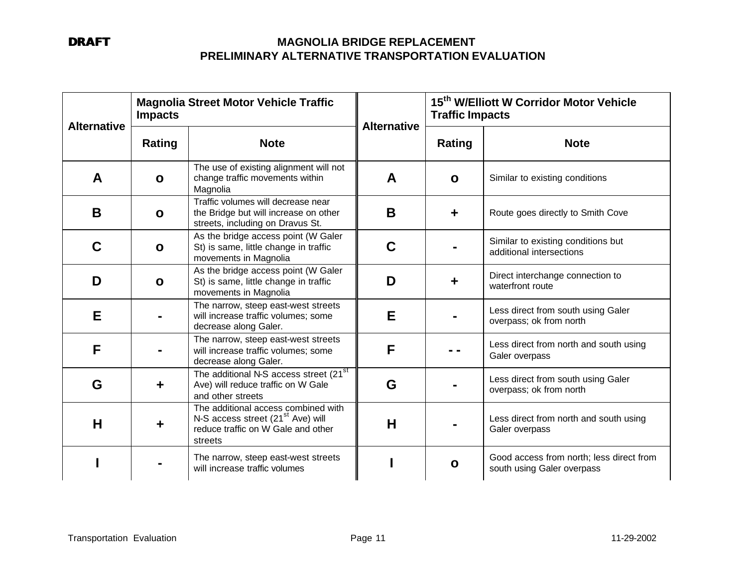| <b>Alternative</b> | <b>Impacts</b> | <b>Magnolia Street Motor Vehicle Traffic</b>                                                                                          | <b>Alternative</b> | 15 <sup>th</sup> W/Elliott W Corridor Motor Vehicle<br><b>Traffic Impacts</b> |                                                                        |  |  |  |
|--------------------|----------------|---------------------------------------------------------------------------------------------------------------------------------------|--------------------|-------------------------------------------------------------------------------|------------------------------------------------------------------------|--|--|--|
|                    | Rating         | <b>Note</b>                                                                                                                           |                    | Rating                                                                        | <b>Note</b>                                                            |  |  |  |
| A                  | $\mathbf{o}$   | The use of existing alignment will not<br>change traffic movements within<br>Magnolia                                                 | A                  | $\mathbf{o}$                                                                  | Similar to existing conditions                                         |  |  |  |
| B                  | $\mathbf{o}$   | Traffic volumes will decrease near<br>the Bridge but will increase on other<br>streets, including on Dravus St.                       | B                  | ╈                                                                             | Route goes directly to Smith Cove                                      |  |  |  |
| C                  | $\mathbf{o}$   | As the bridge access point (W Galer<br>St) is same, little change in traffic<br>movements in Magnolia                                 | C                  |                                                                               | Similar to existing conditions but<br>additional intersections         |  |  |  |
| D                  | $\mathbf{o}$   | As the bridge access point (W Galer<br>St) is same, little change in traffic<br>movements in Magnolia                                 | D                  |                                                                               | Direct interchange connection to<br>waterfront route                   |  |  |  |
| Е                  |                | The narrow, steep east-west streets<br>will increase traffic volumes; some<br>decrease along Galer.                                   | Е                  |                                                                               | Less direct from south using Galer<br>overpass; ok from north          |  |  |  |
| F                  |                | The narrow, steep east-west streets<br>will increase traffic volumes; some<br>decrease along Galer.                                   | F                  |                                                                               | Less direct from north and south using<br>Galer overpass               |  |  |  |
| G                  |                | The additional N-S access street (21 <sup>st</sup><br>Ave) will reduce traffic on W Gale<br>and other streets                         | G                  |                                                                               | Less direct from south using Galer<br>overpass; ok from north          |  |  |  |
| Н                  |                | The additional access combined with<br>N-S access street (21 <sup>st</sup> Ave) will<br>reduce traffic on W Gale and other<br>streets | $\mathsf{H}$       |                                                                               | Less direct from north and south using<br>Galer overpass               |  |  |  |
|                    |                | The narrow, steep east-west streets<br>will increase traffic volumes                                                                  |                    | $\mathbf{o}$                                                                  | Good access from north; less direct from<br>south using Galer overpass |  |  |  |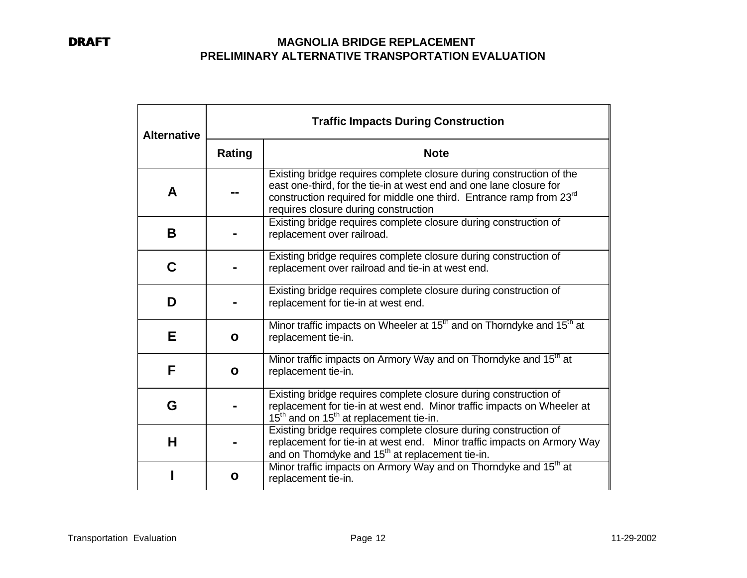| <b>Alternative</b> |                                                                                                     | <b>Traffic Impacts During Construction</b>                                                                                                                                                                                                                             |  |  |  |  |  |  |
|--------------------|-----------------------------------------------------------------------------------------------------|------------------------------------------------------------------------------------------------------------------------------------------------------------------------------------------------------------------------------------------------------------------------|--|--|--|--|--|--|
|                    | Rating                                                                                              | <b>Note</b>                                                                                                                                                                                                                                                            |  |  |  |  |  |  |
| A                  |                                                                                                     | Existing bridge requires complete closure during construction of the<br>east one-third, for the tie-in at west end and one lane closure for<br>construction required for middle one third. Entrance ramp from 23 <sup>rd</sup><br>requires closure during construction |  |  |  |  |  |  |
| B                  |                                                                                                     | Existing bridge requires complete closure during construction of<br>replacement over railroad.                                                                                                                                                                         |  |  |  |  |  |  |
| C                  |                                                                                                     | Existing bridge requires complete closure during construction of<br>replacement over railroad and tie-in at west end.                                                                                                                                                  |  |  |  |  |  |  |
| D                  |                                                                                                     | Existing bridge requires complete closure during construction of<br>replacement for tie-in at west end.                                                                                                                                                                |  |  |  |  |  |  |
| Е                  | $\mathbf{o}$                                                                                        | Minor traffic impacts on Wheeler at 15 <sup>th</sup> and on Thorndyke and 15 <sup>th</sup> at<br>replacement tie-in.                                                                                                                                                   |  |  |  |  |  |  |
| F                  | $\mathbf{o}$                                                                                        | Minor traffic impacts on Armory Way and on Thorndyke and 15 <sup>th</sup> at<br>replacement tie-in.                                                                                                                                                                    |  |  |  |  |  |  |
| G                  |                                                                                                     | Existing bridge requires complete closure during construction of<br>replacement for tie-in at west end. Minor traffic impacts on Wheeler at<br>$15th$ and on $15th$ at replacement tie-in.                                                                             |  |  |  |  |  |  |
| н                  |                                                                                                     | Existing bridge requires complete closure during construction of<br>replacement for tie-in at west end. Minor traffic impacts on Armory Way<br>and on Thorndyke and 15 <sup>th</sup> at replacement tie-in.                                                            |  |  |  |  |  |  |
|                    | Minor traffic impacts on Armory Way and on Thorndyke and 15 <sup>th</sup> at<br>replacement tie-in. |                                                                                                                                                                                                                                                                        |  |  |  |  |  |  |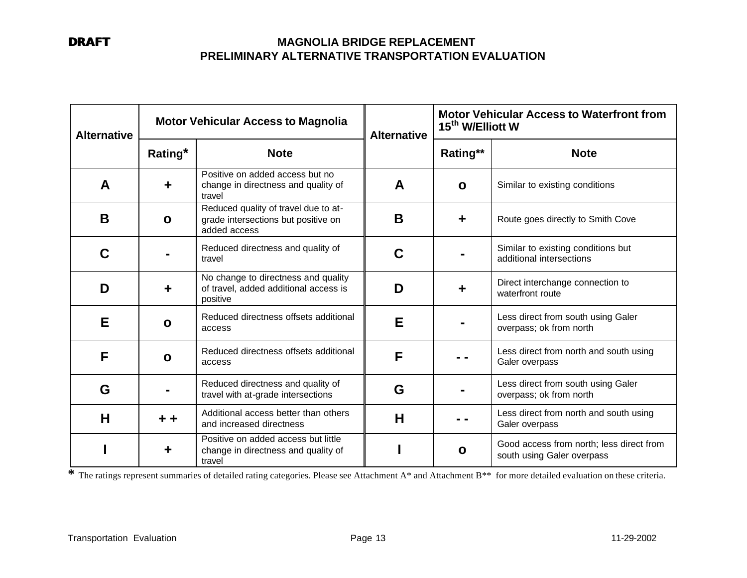| <b>Alternative</b> |              | <b>Motor Vehicular Access to Magnolia</b>                                                   | <b>Alternative</b> | <b>Motor Vehicular Access to Waterfront from</b><br>15 <sup>th</sup> W/Elliott W |                                                                        |  |
|--------------------|--------------|---------------------------------------------------------------------------------------------|--------------------|----------------------------------------------------------------------------------|------------------------------------------------------------------------|--|
|                    | Rating*      | <b>Note</b>                                                                                 |                    | Rating**                                                                         | <b>Note</b>                                                            |  |
| A                  |              | Positive on added access but no<br>change in directness and quality of<br>travel            | A                  | $\mathbf{o}$                                                                     | Similar to existing conditions                                         |  |
| B                  | $\mathbf{o}$ | Reduced quality of travel due to at-<br>grade intersections but positive on<br>added access | B                  | ╈                                                                                | Route goes directly to Smith Cove                                      |  |
| C                  |              | Reduced directness and quality of<br>travel                                                 | C                  |                                                                                  | Similar to existing conditions but<br>additional intersections         |  |
| D                  |              | No change to directness and quality<br>of travel, added additional access is<br>positive    | D                  | ╈                                                                                | Direct interchange connection to<br>waterfront route                   |  |
| Е                  | O            | Reduced directness offsets additional<br>access                                             | E                  |                                                                                  | Less direct from south using Galer<br>overpass; ok from north          |  |
| F                  | $\mathbf{o}$ | Reduced directness offsets additional<br>access                                             | F                  |                                                                                  | Less direct from north and south using<br>Galer overpass               |  |
| G                  |              | Reduced directness and quality of<br>travel with at-grade intersections                     | G                  |                                                                                  | Less direct from south using Galer<br>overpass; ok from north          |  |
| Н                  | + +          | Additional access better than others<br>and increased directness                            | H                  |                                                                                  | Less direct from north and south using<br>Galer overpass               |  |
|                    |              | Positive on added access but little<br>change in directness and quality of<br>travel        |                    | $\mathbf{o}$                                                                     | Good access from north; less direct from<br>south using Galer overpass |  |

\* The ratings represent summaries of detailed rating categories. Please see Attachment A\* and Attachment B\*\* for more detailed evaluation on these criteria.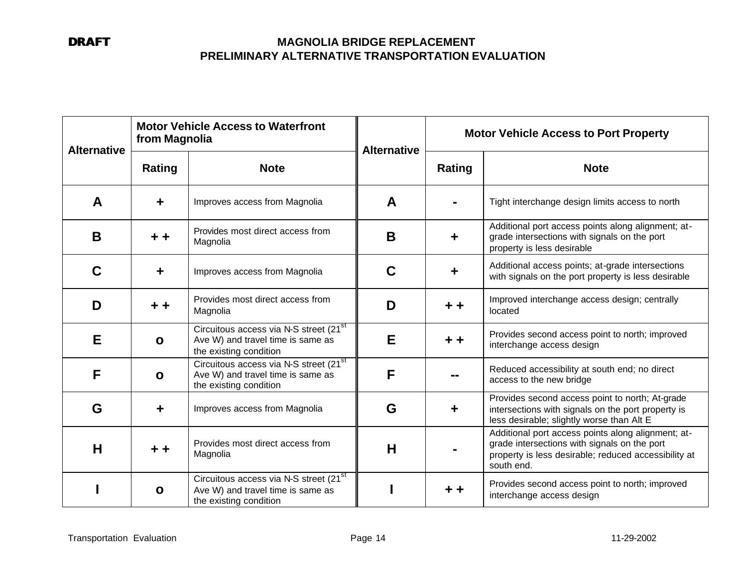| <b>Alternative</b> | from Magnolia        | <b>Motor Vehicle Access to Waterfront</b>                                                                                     | <b>Alternative</b> | <b>Motor Vehicle Access to Port Property</b> |                                                                                                                                                                          |  |
|--------------------|----------------------|-------------------------------------------------------------------------------------------------------------------------------|--------------------|----------------------------------------------|--------------------------------------------------------------------------------------------------------------------------------------------------------------------------|--|
|                    | Rating               | <b>Note</b>                                                                                                                   |                    | <b>Rating</b>                                | <b>Note</b>                                                                                                                                                              |  |
| A                  | $\ddot{\phantom{1}}$ | Improves access from Magnolia                                                                                                 | A                  |                                              | Tight interchange design limits access to north                                                                                                                          |  |
| B                  | + +                  | Provides most direct access from<br>Magnolia                                                                                  | B                  | ٠                                            | Additional port access points along alignment; at-<br>grade intersections with signals on the port<br>property is less desirable                                         |  |
| C                  | ÷                    | Improves access from Magnolia                                                                                                 | C                  | $\ddagger$                                   | Additional access points; at-grade intersections<br>with signals on the port property is less desirable                                                                  |  |
| D                  | $+ +$                | Provides most direct access from<br>Magnolia                                                                                  | D                  | + +                                          | Improved interchange access design; centrally<br>located                                                                                                                 |  |
| Е                  | $\mathbf{o}$         | Circuitous access via N-S street (21 <sup>st</sup><br>Ave W) and travel time is same as<br>the existing condition             | Е                  | + +                                          | Provides second access point to north; improved<br>interchange access design                                                                                             |  |
| F                  | $\mathbf{o}$         | Circuitous access via N-S street (21 <sup>st</sup><br>Ave W) and travel time is same as<br>the existing condition             | F                  |                                              | Reduced accessibility at south end; no direct<br>access to the new bridge                                                                                                |  |
| G                  | ╋                    | Improves access from Magnolia                                                                                                 | G                  | ٠                                            | Provides second access point to north; At-grade<br>intersections with signals on the port property is<br>less desirable; slightly worse than Alt E                       |  |
| H                  | $+ +$                | Provides most direct access from<br>Magnolia                                                                                  | Н                  |                                              | Additional port access points along alignment; at-<br>grade intersections with signals on the port<br>property is less desirable; reduced accessibility at<br>south end. |  |
|                    | $\mathbf{o}$         | Circuitous access via N-S street $\overline{(21^{\text{st}})}$<br>Ave W) and travel time is same as<br>the existing condition |                    | + +                                          | Provides second access point to north; improved<br>interchange access design                                                                                             |  |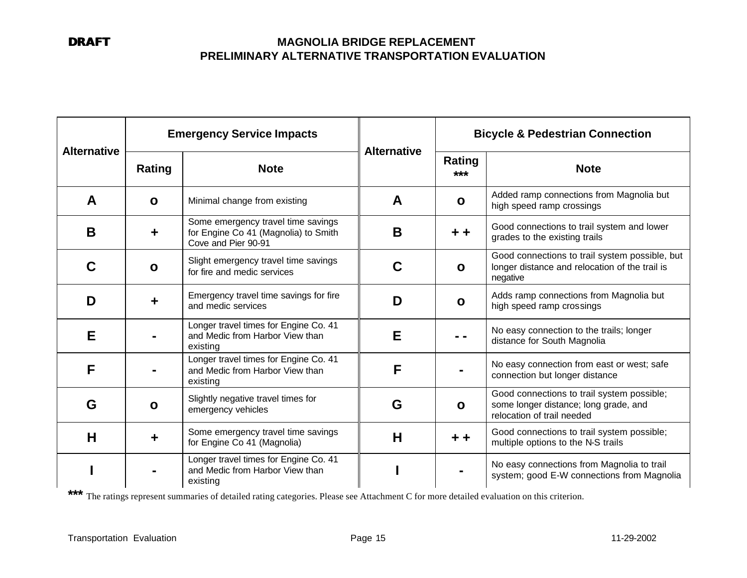| <b>Alternative</b> |              | <b>Emergency Service Impacts</b>                                                                  | <b>Alternative</b> | <b>Bicycle &amp; Pedestrian Connection</b> |                                                                                                                   |  |
|--------------------|--------------|---------------------------------------------------------------------------------------------------|--------------------|--------------------------------------------|-------------------------------------------------------------------------------------------------------------------|--|
|                    | Rating       | <b>Note</b>                                                                                       |                    | Rating<br>$***$                            | <b>Note</b>                                                                                                       |  |
| A                  | $\mathbf{o}$ | Minimal change from existing                                                                      | A                  | $\mathbf{o}$                               | Added ramp connections from Magnolia but<br>high speed ramp crossings                                             |  |
| B                  | ÷.           | Some emergency travel time savings<br>for Engine Co 41 (Magnolia) to Smith<br>Cove and Pier 90-91 | B                  | $+ +$                                      | Good connections to trail system and lower<br>grades to the existing trails                                       |  |
| C                  | $\mathbf{o}$ | Slight emergency travel time savings<br>for fire and medic services                               | C                  | $\mathbf{o}$                               | Good connections to trail system possible, but<br>longer distance and relocation of the trail is<br>negative      |  |
| D                  |              | Emergency travel time savings for fire<br>and medic services                                      | D                  | $\mathbf{o}$                               | Adds ramp connections from Magnolia but<br>high speed ramp crossings                                              |  |
| E                  |              | Longer travel times for Engine Co. 41<br>and Medic from Harbor View than<br>existing              | E                  |                                            | No easy connection to the trails; longer<br>distance for South Magnolia                                           |  |
| F                  |              | Longer travel times for Engine Co. 41<br>and Medic from Harbor View than<br>existing              | F                  |                                            | No easy connection from east or west; safe<br>connection but longer distance                                      |  |
| G                  | O            | Slightly negative travel times for<br>emergency vehicles                                          | G                  | $\mathbf{o}$                               | Good connections to trail system possible;<br>some longer distance; long grade, and<br>relocation of trail needed |  |
| H                  |              | Some emergency travel time savings<br>for Engine Co 41 (Magnolia)                                 | H                  | + +                                        | Good connections to trail system possible;<br>multiple options to the N-S trails                                  |  |
|                    |              | Longer travel times for Engine Co. 41<br>and Medic from Harbor View than<br>existing              |                    |                                            | No easy connections from Magnolia to trail<br>system; good E-W connections from Magnolia                          |  |

\*\*\* The ratings represent summaries of detailed rating categories. Please see Attachment C for more detailed evaluation on this criterion.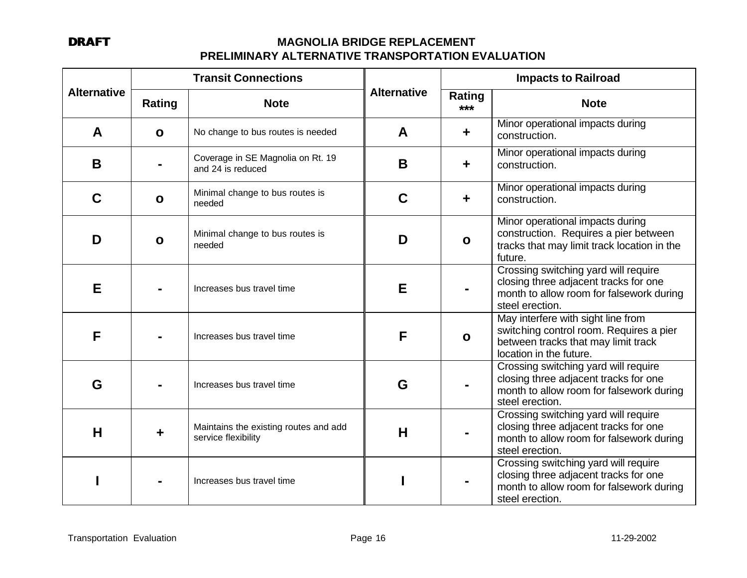|                    |              | <b>Transit Connections</b>                                   |                    | <b>Impacts to Railroad</b> |                                                                                                                                                 |  |
|--------------------|--------------|--------------------------------------------------------------|--------------------|----------------------------|-------------------------------------------------------------------------------------------------------------------------------------------------|--|
| <b>Alternative</b> | Rating       | <b>Note</b>                                                  | <b>Alternative</b> | Rating<br>$***$            | <b>Note</b>                                                                                                                                     |  |
| A                  | $\mathbf{o}$ | No change to bus routes is needed                            | A                  | ٠                          | Minor operational impacts during<br>construction.                                                                                               |  |
| B                  |              | Coverage in SE Magnolia on Rt. 19<br>and 24 is reduced       | B                  | ٠                          | Minor operational impacts during<br>construction.                                                                                               |  |
| С                  | $\mathbf{o}$ | Minimal change to bus routes is<br>needed                    | C                  | ÷                          | Minor operational impacts during<br>construction.                                                                                               |  |
| D                  | $\mathbf{o}$ | Minimal change to bus routes is<br>needed                    | D                  | $\mathbf{o}$               | Minor operational impacts during<br>construction. Requires a pier between<br>tracks that may limit track location in the<br>future.             |  |
| E                  |              | Increases bus travel time                                    | E                  |                            | Crossing switching yard will require<br>closing three adjacent tracks for one<br>month to allow room for falsework during<br>steel erection.    |  |
| F                  |              | Increases bus travel time                                    | F                  | $\mathbf{o}$               | May interfere with sight line from<br>switching control room. Requires a pier<br>between tracks that may limit track<br>location in the future. |  |
| G                  |              | Increases bus travel time                                    | G                  |                            | Crossing switching yard will require<br>closing three adjacent tracks for one<br>month to allow room for falsework during<br>steel erection.    |  |
| H                  | ┿            | Maintains the existing routes and add<br>service flexibility | Н                  |                            | Crossing switching yard will require<br>closing three adjacent tracks for one<br>month to allow room for falsework during<br>steel erection.    |  |
|                    |              | Increases bus travel time                                    |                    |                            | Crossing switching yard will require<br>closing three adjacent tracks for one<br>month to allow room for falsework during<br>steel erection.    |  |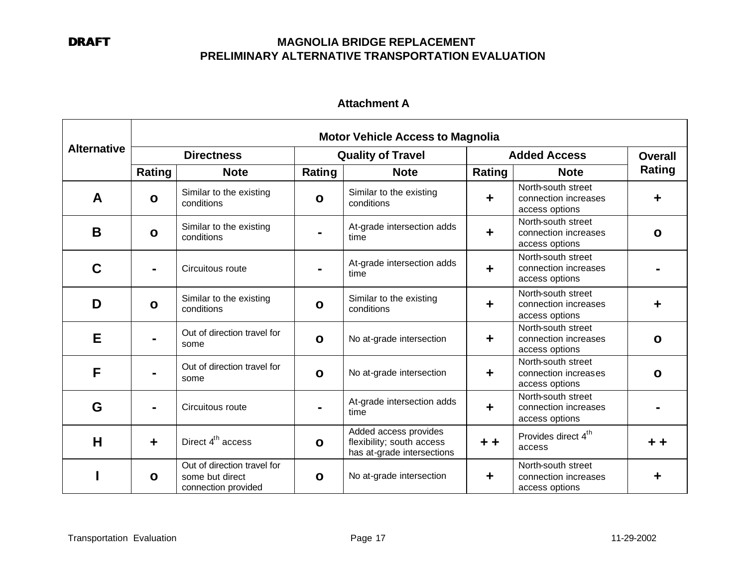# **Attachment A**

|                    | <b>Motor Vehicle Access to Magnolia</b> |                                                                       |              |                                                                                  |                     |                                                              |              |  |  |  |
|--------------------|-----------------------------------------|-----------------------------------------------------------------------|--------------|----------------------------------------------------------------------------------|---------------------|--------------------------------------------------------------|--------------|--|--|--|
| <b>Alternative</b> |                                         | <b>Directness</b>                                                     |              | <b>Quality of Travel</b>                                                         | <b>Added Access</b> | <b>Overall</b>                                               |              |  |  |  |
|                    | Rating                                  | <b>Note</b>                                                           |              | <b>Note</b>                                                                      | Rating              | <b>Note</b>                                                  | Rating       |  |  |  |
| A                  | $\mathbf{o}$                            | Similar to the existing<br>conditions                                 | $\mathbf{o}$ | Similar to the existing<br>conditions                                            | ╈                   | North-south street<br>connection increases<br>access options |              |  |  |  |
| B                  | $\mathbf{o}$                            | Similar to the existing<br>conditions                                 |              | At-grade intersection adds<br>time                                               | ╋                   | North-south street<br>connection increases<br>access options | Ο            |  |  |  |
| C                  |                                         | Circuitous route                                                      |              | At-grade intersection adds<br>time                                               | ╋                   | North-south street<br>connection increases<br>access options |              |  |  |  |
| D                  | $\mathbf{o}$                            | Similar to the existing<br>conditions                                 | $\mathbf{o}$ | Similar to the existing<br>conditions                                            | ÷                   | North-south street<br>connection increases<br>access options |              |  |  |  |
| Е                  |                                         | Out of direction travel for<br>some                                   | $\mathbf{o}$ | No at-grade intersection                                                         | ÷                   | North-south street<br>connection increases<br>access options | $\mathbf{o}$ |  |  |  |
| F                  |                                         | Out of direction travel for<br>some                                   | $\mathbf{o}$ | No at-grade intersection                                                         | ╈                   | North-south street<br>connection increases<br>access options | Ο            |  |  |  |
| G                  |                                         | Circuitous route                                                      |              | At-grade intersection adds<br>time                                               | ╈                   | North-south street<br>connection increases<br>access options |              |  |  |  |
| H                  | ÷                                       | Direct 4 <sup>th</sup> access                                         | $\mathbf{o}$ | Added access provides<br>flexibility; south access<br>has at-grade intersections | $+ +$               | Provides direct 4 <sup>th</sup><br>access                    |              |  |  |  |
|                    | $\mathbf{o}$                            | Out of direction travel for<br>some but direct<br>connection provided | $\mathbf{o}$ | No at-grade intersection                                                         |                     | North-south street<br>connection increases<br>access options |              |  |  |  |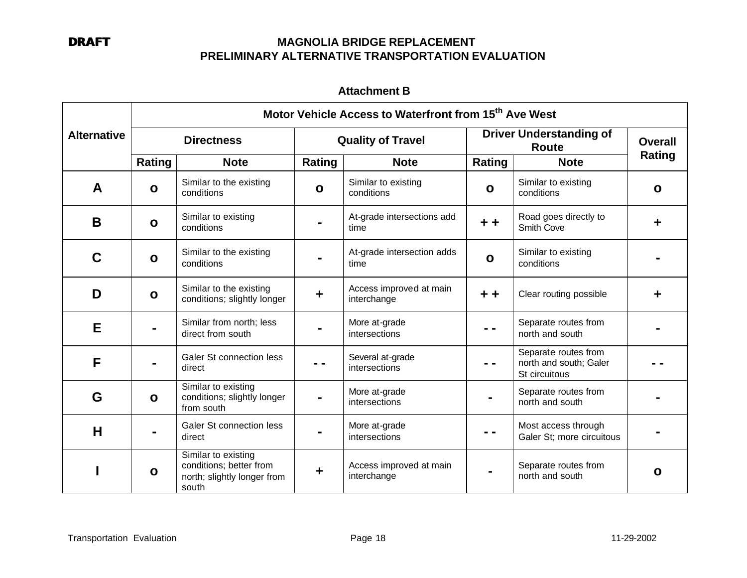# **Attachment B**

|                    | Motor Vehicle Access to Waterfront from 15 <sup>th</sup> Ave West |                                                                                        |              |                                        |                                |                                                                 |              |  |  |  |
|--------------------|-------------------------------------------------------------------|----------------------------------------------------------------------------------------|--------------|----------------------------------------|--------------------------------|-----------------------------------------------------------------|--------------|--|--|--|
| <b>Alternative</b> |                                                                   | <b>Directness</b>                                                                      |              | <b>Quality of Travel</b>               | <b>Driver Understanding of</b> | <b>Overall</b>                                                  |              |  |  |  |
|                    | Rating                                                            | <b>Note</b>                                                                            | Rating       | <b>Note</b>                            | Rating                         | <b>Note</b>                                                     | Rating       |  |  |  |
| A                  | $\mathbf{o}$                                                      | Similar to the existing<br>conditions                                                  | $\mathbf{o}$ | Similar to existing<br>conditions      | $\mathbf{o}$                   | Similar to existing<br>conditions                               | $\mathbf{o}$ |  |  |  |
| B                  | $\mathbf{o}$                                                      | Similar to existing<br>conditions                                                      |              | At-grade intersections add<br>time     | $+ +$                          | Road goes directly to<br>Smith Cove                             |              |  |  |  |
| C                  | $\mathbf{o}$                                                      | Similar to the existing<br>conditions                                                  |              | At-grade intersection adds<br>time     | $\mathbf{o}$                   | Similar to existing<br>conditions                               |              |  |  |  |
| D                  | $\mathbf{o}$                                                      | Similar to the existing<br>conditions; slightly longer                                 | ٠            | Access improved at main<br>interchange | $+ +$                          | Clear routing possible                                          |              |  |  |  |
| Е                  |                                                                   | Similar from north; less<br>direct from south                                          |              | More at-grade<br>intersections         |                                | Separate routes from<br>north and south                         |              |  |  |  |
| F                  |                                                                   | <b>Galer St connection less</b><br>direct                                              |              | Several at-grade<br>intersections      |                                | Separate routes from<br>north and south; Galer<br>St circuitous |              |  |  |  |
| G                  | $\mathbf{o}$                                                      | Similar to existing<br>conditions; slightly longer<br>from south                       |              | More at-grade<br>intersections         |                                | Separate routes from<br>north and south                         |              |  |  |  |
| H                  |                                                                   | Galer St connection less<br>direct                                                     |              | More at-grade<br>intersections         |                                | Most access through<br>Galer St; more circuitous                |              |  |  |  |
|                    | $\mathbf{o}$                                                      | Similar to existing<br>conditions; better from<br>north; slightly longer from<br>south | ٠            | Access improved at main<br>interchange |                                | Separate routes from<br>north and south                         | $\mathbf{o}$ |  |  |  |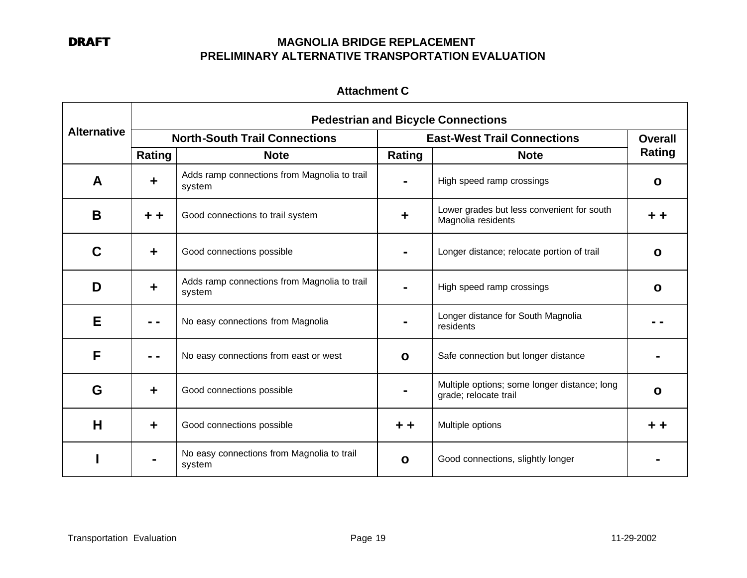┯

# **DRAFT MAGNOLIA BRIDGE REPLACEMENT PRELIMINARY ALTERNATIVE TRANSPORTATION EVALUATION**

# **Attachment C**

|                    | <b>Pedestrian and Bicycle Connections</b> |                                                        |               |                                                                       |        |  |  |  |  |  |
|--------------------|-------------------------------------------|--------------------------------------------------------|---------------|-----------------------------------------------------------------------|--------|--|--|--|--|--|
| <b>Alternative</b> |                                           | <b>North-South Trail Connections</b>                   |               | <b>East-West Trail Connections</b>                                    |        |  |  |  |  |  |
|                    | Rating                                    | <b>Note</b>                                            | <b>Rating</b> | <b>Note</b>                                                           | Rating |  |  |  |  |  |
| A                  | ÷                                         | Adds ramp connections from Magnolia to trail<br>system |               | High speed ramp crossings                                             | О      |  |  |  |  |  |
| B                  | + +                                       | Good connections to trail system                       |               | Lower grades but less convenient for south<br>Magnolia residents      |        |  |  |  |  |  |
| C                  | ÷                                         | Good connections possible                              |               | Longer distance; relocate portion of trail                            | О      |  |  |  |  |  |
| D                  | ÷                                         | Adds ramp connections from Magnolia to trail<br>system |               | High speed ramp crossings                                             | О      |  |  |  |  |  |
| Е                  |                                           | No easy connections from Magnolia                      |               | Longer distance for South Magnolia<br>residents                       |        |  |  |  |  |  |
| F                  |                                           | No easy connections from east or west                  | $\mathbf{o}$  | Safe connection but longer distance                                   |        |  |  |  |  |  |
| G                  | ÷                                         | Good connections possible                              |               | Multiple options; some longer distance; long<br>grade; relocate trail | О      |  |  |  |  |  |
| H                  | ÷                                         | Good connections possible                              | + +           | Multiple options                                                      |        |  |  |  |  |  |
|                    |                                           | No easy connections from Magnolia to trail<br>system   | $\mathbf{o}$  | Good connections, slightly longer                                     |        |  |  |  |  |  |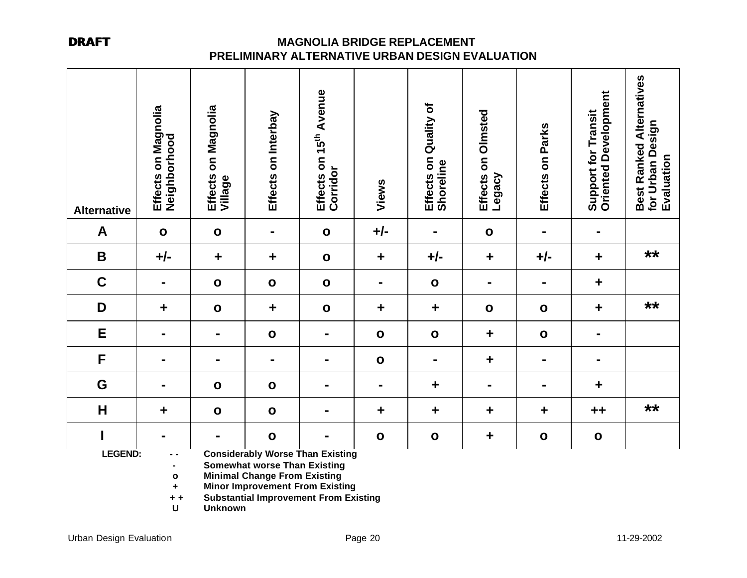| <b>Alternative</b> | Effects on Magnolia<br>Neighborhood | Effects on Magnolia<br>Village | Effects on Interbay | Effects on 15 <sup>th</sup> Avenue<br>Corridor | Views          | Effects on Quality of<br>Shoreline | Effects on Olmsted<br>Legacy | Effects on Parks | <b>Oriented Development</b><br>Support for Transit | <b>Best Ranked Alternatives</b><br>for Urban Design<br>Evaluation |
|--------------------|-------------------------------------|--------------------------------|---------------------|------------------------------------------------|----------------|------------------------------------|------------------------------|------------------|----------------------------------------------------|-------------------------------------------------------------------|
| $\mathbf{A}$       | $\mathbf{o}$                        | $\bullet$                      | $\blacksquare$      | $\mathbf{o}$                                   | $+/-$          |                                    | $\mathbf{o}$                 |                  | $\blacksquare$                                     |                                                                   |
| B                  | $+/-$                               | $\ddag$                        | $\ddot{}$           | $\mathbf{o}$                                   | $\ddot{}$      | $+/-$                              | $\ddot{\phantom{1}}$         | $+/-$            | $\ddot{\phantom{1}}$                               | $**$                                                              |
| $\mathbf C$        | $\blacksquare$                      | $\mathbf{o}$                   | $\mathbf{o}$        | $\mathbf{o}$                                   | $\blacksquare$ | $\mathbf{o}$                       | $\blacksquare$               |                  | $\ddagger$                                         |                                                                   |
| D                  | $\ddagger$                          | $\mathbf{o}$                   | $\ddagger$          | $\mathbf{o}$                                   | $\ddagger$     | $\ddot{}$                          | $\mathbf{o}$                 | $\mathbf{o}$     | $\ddot{\phantom{1}}$                               | $***$                                                             |
| E                  | $\blacksquare$                      | $\blacksquare$                 | $\mathbf{o}$        | $\blacksquare$                                 | $\mathbf{o}$   | $\mathbf{o}$                       | $\ddot{\phantom{1}}$         | $\mathbf{o}$     | $\blacksquare$                                     |                                                                   |
| F                  | $\blacksquare$                      | $\blacksquare$                 | $\blacksquare$      | $\blacksquare$                                 | $\mathbf{o}$   | $\blacksquare$                     | ÷                            | $\blacksquare$   | $\blacksquare$                                     |                                                                   |
| G                  | $\blacksquare$                      | $\mathbf{o}$                   | $\mathbf{o}$        | $\blacksquare$                                 | $\blacksquare$ | $\ddot{}$                          | $\blacksquare$               | $\blacksquare$   | $\ddot{}$                                          |                                                                   |
| $\mathsf{H}$       | $\ddag$                             | $\mathbf{o}$                   | $\mathbf{o}$        | $\blacksquare$                                 | ÷              | $\ddot{}$                          | ÷                            | $\ddagger$       | $++$                                               | $**$                                                              |
|                    | $\blacksquare$                      | $\blacksquare$                 | $\mathbf{o}$        | $\blacksquare$                                 | $\mathbf{o}$   | $\mathbf{o}$                       | $\ddot{\phantom{1}}$         | $\mathbf{o}$     | $\mathbf{o}$                                       |                                                                   |
| <b>LEGEND:</b>     | $\sim$ $\sim$                       |                                |                     | <b>Considerably Worse Than Existing</b>        |                |                                    |                              |                  |                                                    |                                                                   |

**- Somewhat worse Than Existing o Minimal Change From Existing**

 **+ Minor Improvement From Existing**

**+ + Substantial Improvement From Existing**

 **U Unknown**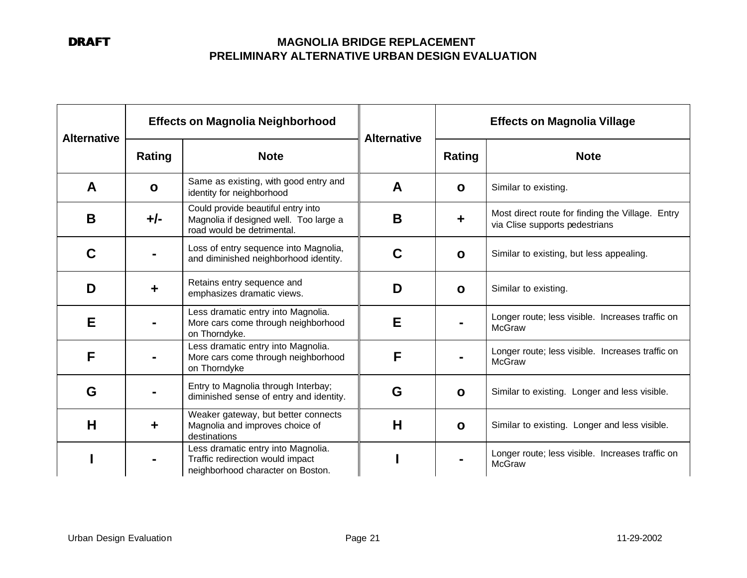| <b>Alternative</b> |              | <b>Effects on Magnolia Neighborhood</b>                                                                     | <b>Alternative</b> | <b>Effects on Magnolia Village</b> |                                                                                    |  |  |
|--------------------|--------------|-------------------------------------------------------------------------------------------------------------|--------------------|------------------------------------|------------------------------------------------------------------------------------|--|--|
|                    | Rating       | <b>Note</b>                                                                                                 |                    | Rating                             | <b>Note</b>                                                                        |  |  |
| A                  | $\mathbf{o}$ | Same as existing, with good entry and<br>identity for neighborhood                                          | A                  | $\mathbf{o}$                       | Similar to existing.                                                               |  |  |
| B                  | $+/-$        | Could provide beautiful entry into<br>Magnolia if designed well. Too large a<br>road would be detrimental.  | B                  | ÷                                  | Most direct route for finding the Village. Entry<br>via Clise supports pedestrians |  |  |
| C                  |              | Loss of entry sequence into Magnolia,<br>and diminished neighborhood identity.                              | C                  | $\mathbf{o}$                       | Similar to existing, but less appealing.                                           |  |  |
| D                  | ╋            | Retains entry sequence and<br>emphasizes dramatic views.                                                    | D                  | $\mathbf{o}$                       | Similar to existing.                                                               |  |  |
| Е                  |              | Less dramatic entry into Magnolia.<br>More cars come through neighborhood<br>on Thorndyke.                  | E                  |                                    | Longer route; less visible. Increases traffic on<br><b>McGraw</b>                  |  |  |
| F                  |              | Less dramatic entry into Magnolia.<br>More cars come through neighborhood<br>on Thorndyke                   | F                  |                                    | Longer route; less visible. Increases traffic on<br><b>McGraw</b>                  |  |  |
| G                  |              | Entry to Magnolia through Interbay;<br>diminished sense of entry and identity.                              | G                  | $\mathbf{o}$                       | Similar to existing. Longer and less visible.                                      |  |  |
| H                  | ╋            | Weaker gateway, but better connects<br>Magnolia and improves choice of<br>destinations                      | $\overline{H}$     | $\mathbf{o}$                       | Similar to existing. Longer and less visible.                                      |  |  |
|                    |              | Less dramatic entry into Magnolia.<br>Traffic redirection would impact<br>neighborhood character on Boston. |                    |                                    | Longer route; less visible. Increases traffic on<br><b>McGraw</b>                  |  |  |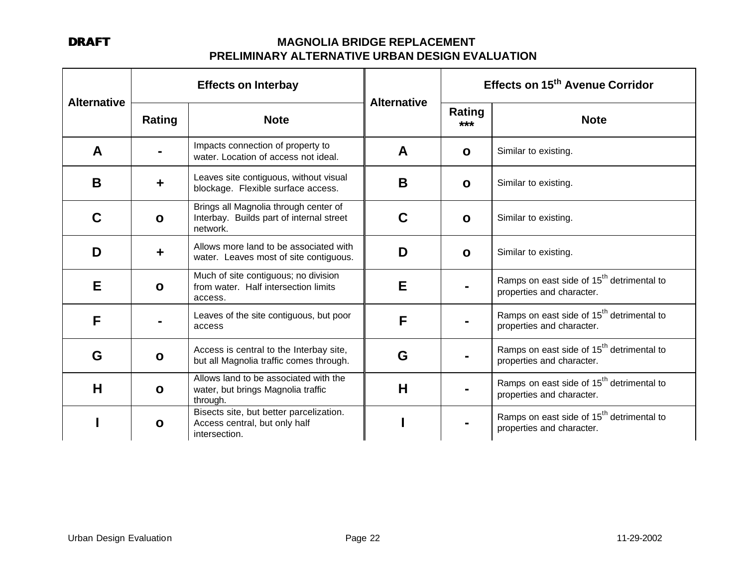| <b>Alternative</b> |              | <b>Effects on Interbay</b>                                                                    | <b>Alternative</b> | Effects on 15 <sup>th</sup> Avenue Corridor |                                                                                    |  |  |
|--------------------|--------------|-----------------------------------------------------------------------------------------------|--------------------|---------------------------------------------|------------------------------------------------------------------------------------|--|--|
|                    | Rating       | <b>Note</b>                                                                                   |                    | <b>Rating</b><br>***                        | <b>Note</b>                                                                        |  |  |
| A                  |              | Impacts connection of property to<br>water. Location of access not ideal.                     | A                  | $\mathbf{o}$                                | Similar to existing.                                                               |  |  |
| B                  | ÷            | Leaves site contiguous, without visual<br>blockage. Flexible surface access.                  | B                  | $\mathbf{o}$                                | Similar to existing.                                                               |  |  |
| C                  | $\mathbf{o}$ | Brings all Magnolia through center of<br>Interbay. Builds part of internal street<br>network. | C                  | $\mathbf{o}$                                | Similar to existing.                                                               |  |  |
| D                  | ٠            | Allows more land to be associated with<br>water. Leaves most of site contiguous.              | D                  | $\mathbf{o}$                                | Similar to existing.                                                               |  |  |
| Е                  | $\mathbf{o}$ | Much of site contiguous; no division<br>from water. Half intersection limits<br>access.       | E                  |                                             | Ramps on east side of 15 <sup>th</sup> detrimental to<br>properties and character. |  |  |
| F                  |              | Leaves of the site contiguous, but poor<br>access                                             | F                  |                                             | Ramps on east side of 15 <sup>th</sup> detrimental to<br>properties and character. |  |  |
| G                  | $\mathbf{o}$ | Access is central to the Interbay site,<br>but all Magnolia traffic comes through.            | G                  |                                             | Ramps on east side of 15 <sup>th</sup> detrimental to<br>properties and character. |  |  |
| Н                  | $\mathbf{o}$ | Allows land to be associated with the<br>water, but brings Magnolia traffic<br>through.       | Н                  |                                             | Ramps on east side of 15 <sup>th</sup> detrimental to<br>properties and character. |  |  |
|                    | $\mathbf{o}$ | Bisects site, but better parcelization.<br>Access central, but only half<br>intersection.     |                    |                                             | Ramps on east side of 15 <sup>th</sup> detrimental to<br>properties and character. |  |  |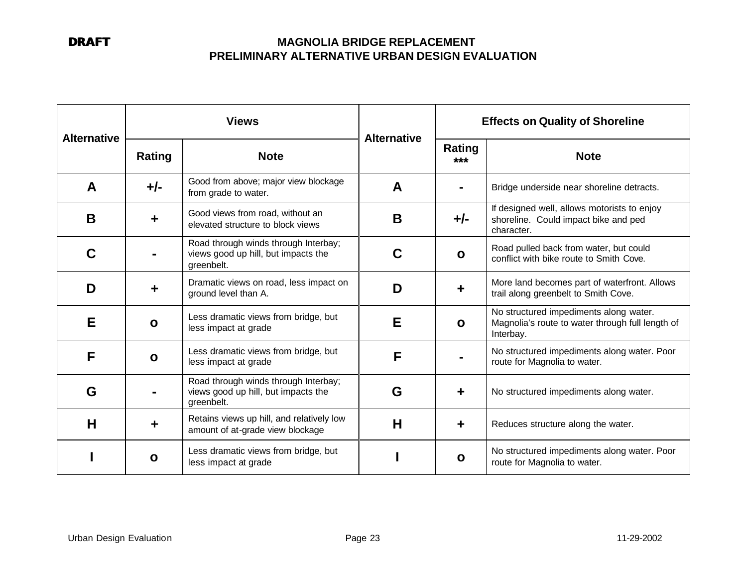|                    |              | <b>Views</b>                                                                              | <b>Alternative</b> | <b>Effects on Quality of Shoreline</b> |                                                                                                         |  |
|--------------------|--------------|-------------------------------------------------------------------------------------------|--------------------|----------------------------------------|---------------------------------------------------------------------------------------------------------|--|
| <b>Alternative</b> | Rating       | <b>Note</b>                                                                               |                    | Rating<br>$***$                        | <b>Note</b>                                                                                             |  |
| A                  | +/-          | Good from above; major view blockage<br>from grade to water.                              | A                  |                                        | Bridge underside near shoreline detracts.                                                               |  |
| B                  |              | Good views from road, without an<br>elevated structure to block views                     | B                  | $+/-$                                  | If designed well, allows motorists to enjoy<br>shoreline. Could impact bike and ped<br>character.       |  |
| C                  |              | Road through winds through Interbay;<br>views good up hill, but impacts the<br>greenbelt. | C                  | $\mathbf{o}$                           | Road pulled back from water, but could<br>conflict with bike route to Smith Cove.                       |  |
| D                  |              | Dramatic views on road, less impact on<br>ground level than A.                            | D                  | ╈                                      | More land becomes part of waterfront. Allows<br>trail along greenbelt to Smith Cove.                    |  |
| Е                  | $\mathbf{o}$ | Less dramatic views from bridge, but<br>less impact at grade                              | Е                  | $\mathbf{o}$                           | No structured impediments along water.<br>Magnolia's route to water through full length of<br>Interbay. |  |
| F                  | $\mathbf{o}$ | Less dramatic views from bridge, but<br>less impact at grade                              | F                  |                                        | No structured impediments along water. Poor<br>route for Magnolia to water.                             |  |
| G                  |              | Road through winds through Interbay;<br>views good up hill, but impacts the<br>greenbelt. | G                  | ٠                                      | No structured impediments along water.                                                                  |  |
| H                  |              | Retains views up hill, and relatively low<br>amount of at-grade view blockage             | H                  | ÷                                      | Reduces structure along the water.                                                                      |  |
|                    | $\mathbf{o}$ | Less dramatic views from bridge, but<br>less impact at grade                              |                    | $\mathbf{o}$                           | No structured impediments along water. Poor<br>route for Magnolia to water.                             |  |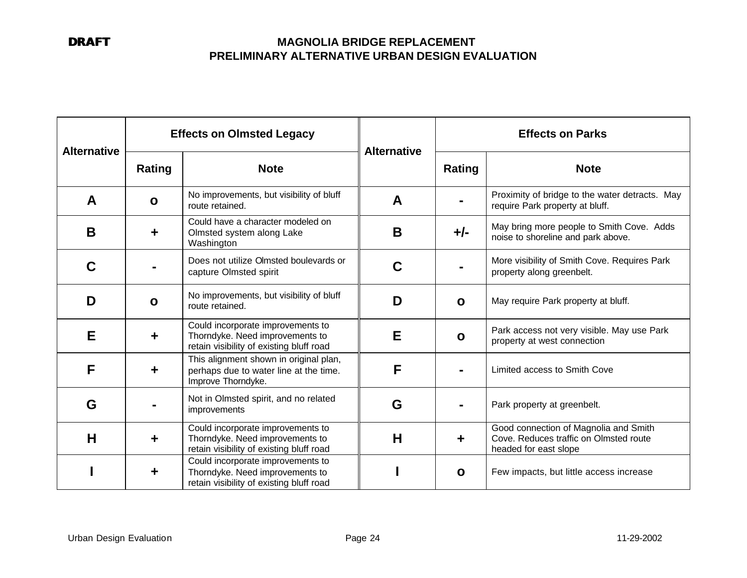| <b>Alternative</b> |              | <b>Effects on Olmsted Legacy</b>                                                                                 | <b>Alternative</b> | <b>Effects on Parks</b> |                                                                                                          |  |
|--------------------|--------------|------------------------------------------------------------------------------------------------------------------|--------------------|-------------------------|----------------------------------------------------------------------------------------------------------|--|
|                    | Rating       | <b>Note</b>                                                                                                      |                    | Rating                  | <b>Note</b>                                                                                              |  |
| A                  | $\mathbf{o}$ | No improvements, but visibility of bluff<br>route retained.                                                      | A                  |                         | Proximity of bridge to the water detracts. May<br>require Park property at bluff.                        |  |
| B                  |              | Could have a character modeled on<br>Olmsted system along Lake<br>Washington                                     | B                  | $+/-$                   | May bring more people to Smith Cove. Adds<br>noise to shoreline and park above.                          |  |
| C                  |              | Does not utilize Olmsted boulevards or<br>capture Olmsted spirit                                                 | C                  |                         | More visibility of Smith Cove. Requires Park<br>property along greenbelt.                                |  |
| D                  | $\mathbf{o}$ | No improvements, but visibility of bluff<br>route retained.                                                      | D                  | $\mathbf{o}$            | May require Park property at bluff.                                                                      |  |
| E                  | ٠            | Could incorporate improvements to<br>Thorndyke. Need improvements to<br>retain visibility of existing bluff road | Е                  | $\mathbf{o}$            | Park access not very visible. May use Park<br>property at west connection                                |  |
| F                  | $\ddagger$   | This alignment shown in original plan,<br>perhaps due to water line at the time.<br>Improve Thorndyke.           | F                  |                         | Limited access to Smith Cove                                                                             |  |
| G                  |              | Not in Olmsted spirit, and no related<br>improvements                                                            | G                  |                         | Park property at greenbelt.                                                                              |  |
| H                  | ÷            | Could incorporate improvements to<br>Thorndyke. Need improvements to<br>retain visibility of existing bluff road | H                  | ÷                       | Good connection of Magnolia and Smith<br>Cove. Reduces traffic on Olmsted route<br>headed for east slope |  |
|                    |              | Could incorporate improvements to<br>Thorndyke. Need improvements to<br>retain visibility of existing bluff road |                    | $\mathbf{o}$            | Few impacts, but little access increase                                                                  |  |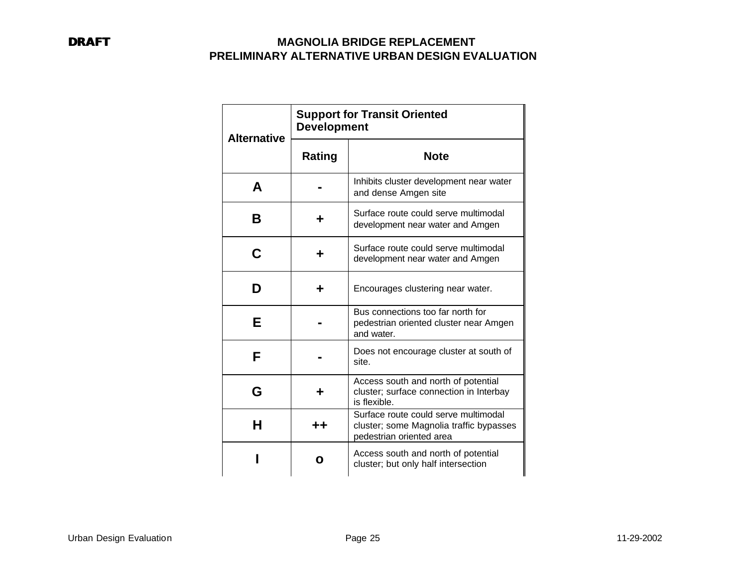| <b>Alternative</b> | <b>Support for Transit Oriented</b><br><b>Development</b> |                                                                                                             |  |  |  |
|--------------------|-----------------------------------------------------------|-------------------------------------------------------------------------------------------------------------|--|--|--|
|                    | Rating                                                    | <b>Note</b>                                                                                                 |  |  |  |
| A                  |                                                           | Inhibits cluster development near water<br>and dense Amgen site                                             |  |  |  |
| В                  | ╈                                                         | Surface route could serve multimodal<br>development near water and Amgen                                    |  |  |  |
| C                  | ┿                                                         | Surface route could serve multimodal<br>development near water and Amgen                                    |  |  |  |
| D                  | ÷                                                         | Encourages clustering near water.                                                                           |  |  |  |
| Е                  |                                                           | Bus connections too far north for<br>pedestrian oriented cluster near Amgen<br>and water.                   |  |  |  |
| F                  |                                                           | Does not encourage cluster at south of<br>site.                                                             |  |  |  |
| G                  | ÷                                                         | Access south and north of potential<br>cluster; surface connection in Interbay<br>is flexible.              |  |  |  |
| н                  | ++                                                        | Surface route could serve multimodal<br>cluster; some Magnolia traffic bypasses<br>pedestrian oriented area |  |  |  |
|                    |                                                           | Access south and north of potential<br>cluster; but only half intersection                                  |  |  |  |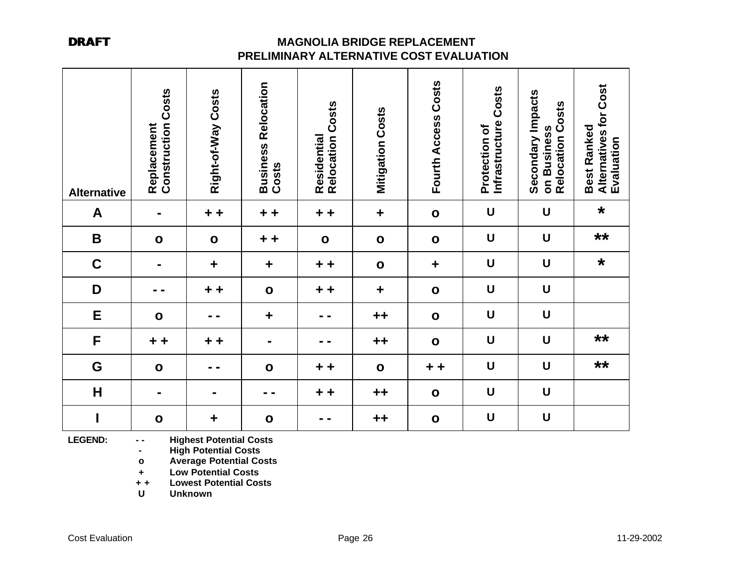| <b>Alternative</b> | <b>Construction Costs</b><br>Replacement | Right-of-Way Costs | <b>Business Relocation</b><br>Costs | <b>Relocation Costs</b><br>Residential       | <b>Mitigation Costs</b> | Fourth Access Costs | Infrastructure Costs<br>Protection of | Secondary Impacts<br><b>Relocation Costs</b><br>on Business | <b>Alternatives for Cost</b><br>Best Ranked<br>Evaluation |
|--------------------|------------------------------------------|--------------------|-------------------------------------|----------------------------------------------|-------------------------|---------------------|---------------------------------------|-------------------------------------------------------------|-----------------------------------------------------------|
| A                  |                                          | $+ +$              | $+ +$                               | $\ddot{}$<br>$\ddot{\phantom{1}}$            | $\ddot{}$               | $\mathbf{o}$        | $\cup$                                | $\cup$                                                      | $\star$                                                   |
| $\, {\bf B}$       | $\mathbf{o}$                             | $\mathbf{o}$       | $+ +$                               | $\mathbf{o}$                                 | $\mathbf{o}$            | $\mathbf{o}$        | $\mathsf{U}$                          | $\bigcup$                                                   | $***$                                                     |
| $\mathbf C$        | $\blacksquare$                           | $\ddot{}$          | $\ddot{\phantom{1}}$                | $+ +$                                        | $\mathbf{o}$            | $\ddagger$          | $\mathsf{U}$                          | $\cup$                                                      | $\star$                                                   |
| D                  | - -                                      | $+ +$              | $\mathbf{o}$                        | $\ddot{\textbf{r}}$<br>÷                     | $\ddagger$              | $\mathbf{o}$        | $\cup$                                | $\bigcup$                                                   |                                                           |
| E                  | $\mathbf{o}$                             |                    | $\ddot{}$                           |                                              | $++$                    | $\mathbf{o}$        | $\cup$                                | $\bigcup$                                                   |                                                           |
| $\mathsf F$        | $+ +$                                    | $+ +$              | $\blacksquare$                      |                                              | $++$                    | $\mathbf{o}$        | $\mathsf{U}$                          | $\cup$                                                      | $***$                                                     |
| G                  | $\mathbf{o}$                             | $\sim$ $\sim$      | $\mathbf{o}$                        | $+ +$                                        | $\mathbf{o}$            | $+ +$               | $\cup$                                | $\bigcup$                                                   | $***$                                                     |
| H                  |                                          | -                  | - -                                 | $\ddot{\phantom{1}}$<br>$\ddot{\phantom{1}}$ | $++$                    | $\mathbf{o}$        | U                                     | $\bigcup$                                                   |                                                           |
| I                  | $\mathbf{o}$                             | ÷                  | $\mathbf{o}$                        |                                              | $++$                    | $\mathbf{o}$        | U                                     | $\cup$                                                      |                                                           |

**LEGEND: - - Highest Potential Costs**

**- High Potential Costs**

**o Average Potential Costs**

 **+ Low Potential Costs**

**+ + Lowest Potential Costs**

 **U Unknown**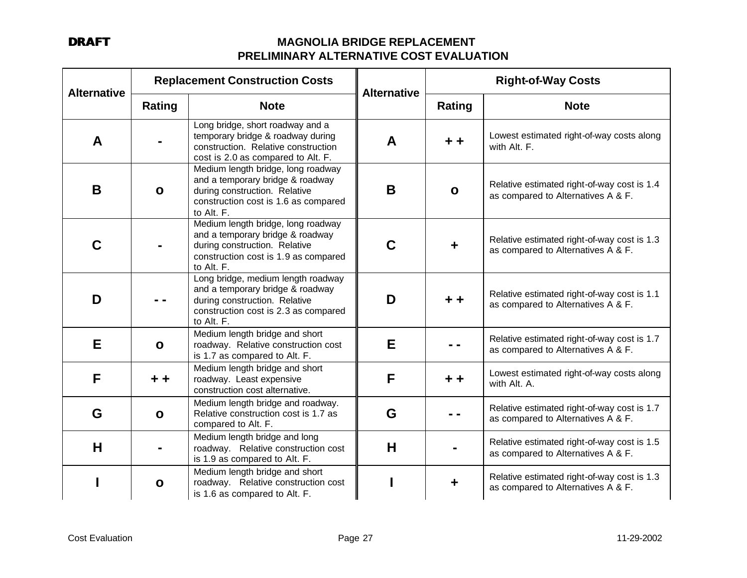| <b>Alternative</b> |               | <b>Replacement Construction Costs</b>                                                                                                                         | <b>Alternative</b> | <b>Right-of-Way Costs</b>                                   |                                                                                   |  |
|--------------------|---------------|---------------------------------------------------------------------------------------------------------------------------------------------------------------|--------------------|-------------------------------------------------------------|-----------------------------------------------------------------------------------|--|
|                    | <b>Rating</b> | <b>Note</b>                                                                                                                                                   |                    | Rating                                                      | <b>Note</b>                                                                       |  |
| A                  |               | Long bridge, short roadway and a<br>temporary bridge & roadway during<br>construction. Relative construction<br>cost is 2.0 as compared to Alt. F.            | A                  | + +                                                         | Lowest estimated right-of-way costs along<br>with Alt. F.                         |  |
| B                  | $\mathbf{o}$  | Medium length bridge, long roadway<br>and a temporary bridge & roadway<br>during construction. Relative<br>construction cost is 1.6 as compared<br>to Alt. F. | B                  | $\mathbf{o}$                                                | Relative estimated right-of-way cost is 1.4<br>as compared to Alternatives A & F. |  |
| C                  |               | Medium length bridge, long roadway<br>and a temporary bridge & roadway<br>during construction. Relative<br>construction cost is 1.9 as compared<br>to Alt. F. | C                  |                                                             | Relative estimated right-of-way cost is 1.3<br>as compared to Alternatives A & F. |  |
| D                  |               | Long bridge, medium length roadway<br>and a temporary bridge & roadway<br>during construction. Relative<br>construction cost is 2.3 as compared<br>to Alt. F. | D                  | $\textcolor{red}{\textbf{+}}$ $\textcolor{red}{\textbf{+}}$ | Relative estimated right-of-way cost is 1.1<br>as compared to Alternatives A & F. |  |
| Е                  | $\mathbf{o}$  | Medium length bridge and short<br>roadway. Relative construction cost<br>is 1.7 as compared to Alt. F.                                                        | Е                  |                                                             | Relative estimated right-of-way cost is 1.7<br>as compared to Alternatives A & F. |  |
| F                  | + +           | Medium length bridge and short<br>roadway. Least expensive<br>construction cost alternative.                                                                  | F                  | + +                                                         | Lowest estimated right-of-way costs along<br>with Alt. A.                         |  |
| G                  | $\mathbf{o}$  | Medium length bridge and roadway.<br>Relative construction cost is 1.7 as<br>compared to Alt. F.                                                              | G                  |                                                             | Relative estimated right-of-way cost is 1.7<br>as compared to Alternatives A & F. |  |
| H                  |               | Medium length bridge and long<br>roadway. Relative construction cost<br>is 1.9 as compared to Alt. F.                                                         | H                  |                                                             | Relative estimated right-of-way cost is 1.5<br>as compared to Alternatives A & F. |  |
|                    | $\mathbf{o}$  | Medium length bridge and short<br>roadway. Relative construction cost<br>is 1.6 as compared to Alt. F.                                                        |                    |                                                             | Relative estimated right-of-way cost is 1.3<br>as compared to Alternatives A & F. |  |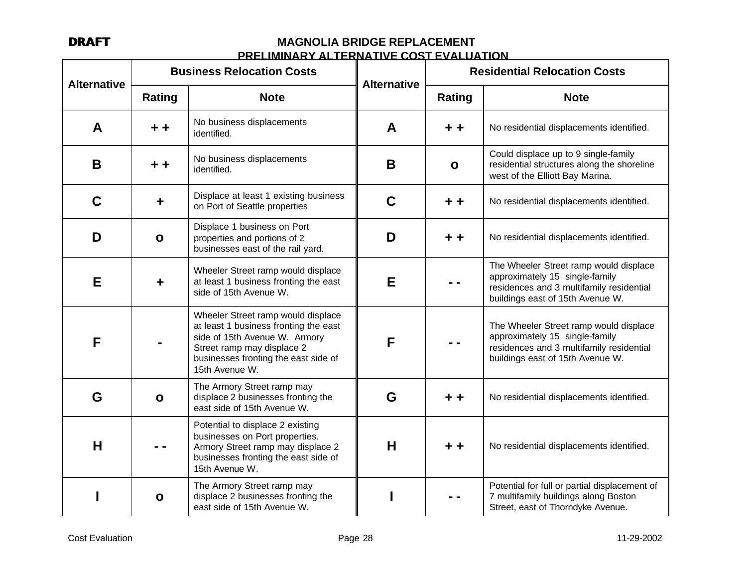| <b>Alternative</b> |               | <b>Business Relocation Costs</b>                                                                                                                                                                     | <b>Alternative</b> | <b>Residential Relocation Costs</b> |                                                                                                                                                          |  |
|--------------------|---------------|------------------------------------------------------------------------------------------------------------------------------------------------------------------------------------------------------|--------------------|-------------------------------------|----------------------------------------------------------------------------------------------------------------------------------------------------------|--|
|                    | <b>Rating</b> | <b>Note</b>                                                                                                                                                                                          |                    | Rating                              | <b>Note</b>                                                                                                                                              |  |
| A                  | + +           | No business displacements<br>identified.                                                                                                                                                             | A                  |                                     | No residential displacements identified.                                                                                                                 |  |
| B                  |               | No business displacements<br>identified.                                                                                                                                                             | B                  | $\mathbf{o}$                        | Could displace up to 9 single-family<br>residential structures along the shoreline<br>west of the Elliott Bay Marina.                                    |  |
| $\mathbf C$        | ÷.            | Displace at least 1 existing business<br>on Port of Seattle properties                                                                                                                               | C                  |                                     | No residential displacements identified.                                                                                                                 |  |
| D                  | $\mathbf{o}$  | Displace 1 business on Port<br>properties and portions of 2<br>businesses east of the rail yard.                                                                                                     | D                  |                                     | No residential displacements identified.                                                                                                                 |  |
| Е                  | ٠             | Wheeler Street ramp would displace<br>at least 1 business fronting the east<br>side of 15th Avenue W.                                                                                                | Е                  |                                     | The Wheeler Street ramp would displace<br>approximately 15 single-family<br>residences and 3 multifamily residential<br>buildings east of 15th Avenue W. |  |
| F                  |               | Wheeler Street ramp would displace<br>at least 1 business fronting the east<br>side of 15th Avenue W. Armory<br>Street ramp may displace 2<br>businesses fronting the east side of<br>15th Avenue W. | F                  |                                     | The Wheeler Street ramp would displace<br>approximately 15 single-family<br>residences and 3 multifamily residential<br>buildings east of 15th Avenue W. |  |
| G                  | $\mathbf{o}$  | The Armory Street ramp may<br>displace 2 businesses fronting the<br>east side of 15th Avenue W.                                                                                                      | G                  |                                     | No residential displacements identified.                                                                                                                 |  |
| H                  |               | Potential to displace 2 existing<br>businesses on Port properties.<br>Armory Street ramp may displace 2<br>businesses fronting the east side of<br>15th Avenue W.                                    | Н                  |                                     | No residential displacements identified.                                                                                                                 |  |
|                    | $\mathbf{o}$  | The Armory Street ramp may<br>displace 2 businesses fronting the<br>east side of 15th Avenue W.                                                                                                      |                    |                                     | Potential for full or partial displacement of<br>7 multifamily buildings along Boston<br>Street, east of Thorndyke Avenue.                               |  |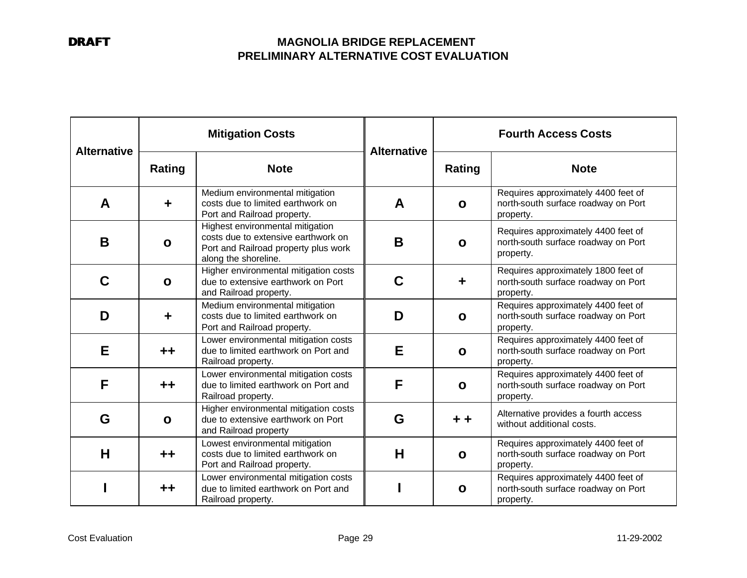| <b>Alternative</b> |              | <b>Mitigation Costs</b>                                                                                                                 | <b>Alternative</b> | <b>Fourth Access Costs</b> |                                                                                         |  |
|--------------------|--------------|-----------------------------------------------------------------------------------------------------------------------------------------|--------------------|----------------------------|-----------------------------------------------------------------------------------------|--|
|                    | Rating       | <b>Note</b>                                                                                                                             |                    | Rating                     | <b>Note</b>                                                                             |  |
| A                  | ╋            | Medium environmental mitigation<br>costs due to limited earthwork on<br>Port and Railroad property.                                     | A                  | $\mathbf{o}$               | Requires approximately 4400 feet of<br>north-south surface roadway on Port<br>property. |  |
| B                  | $\mathbf{o}$ | Highest environmental mitigation<br>costs due to extensive earthwork on<br>Port and Railroad property plus work<br>along the shoreline. | B                  | $\mathbf{o}$               | Requires approximately 4400 feet of<br>north-south surface roadway on Port<br>property. |  |
| C                  | $\mathbf{o}$ | Higher environmental mitigation costs<br>due to extensive earthwork on Port<br>and Railroad property.                                   | C                  | ٠                          | Requires approximately 1800 feet of<br>north-south surface roadway on Port<br>property. |  |
| D                  | ٠            | Medium environmental mitigation<br>costs due to limited earthwork on<br>Port and Railroad property.                                     | D                  | $\mathbf{o}$               | Requires approximately 4400 feet of<br>north-south surface roadway on Port<br>property. |  |
| Е                  | $++$         | Lower environmental mitigation costs<br>due to limited earthwork on Port and<br>Railroad property.                                      | E                  | $\mathbf{o}$               | Requires approximately 4400 feet of<br>north-south surface roadway on Port<br>property. |  |
| F                  | $++$         | Lower environmental mitigation costs<br>due to limited earthwork on Port and<br>Railroad property.                                      | F                  | $\mathbf{o}$               | Requires approximately 4400 feet of<br>north-south surface roadway on Port<br>property. |  |
| G                  | $\mathbf{o}$ | Higher environmental mitigation costs<br>due to extensive earthwork on Port<br>and Railroad property                                    | G                  |                            | Alternative provides a fourth access<br>without additional costs.                       |  |
| H                  | $++$         | Lowest environmental mitigation<br>costs due to limited earthwork on<br>Port and Railroad property.                                     | H                  | $\mathbf{o}$               | Requires approximately 4400 feet of<br>north-south surface roadway on Port<br>property. |  |
|                    | $+ +$        | Lower environmental mitigation costs<br>due to limited earthwork on Port and<br>Railroad property.                                      |                    | $\mathbf{o}$               | Requires approximately 4400 feet of<br>north-south surface roadway on Port<br>property. |  |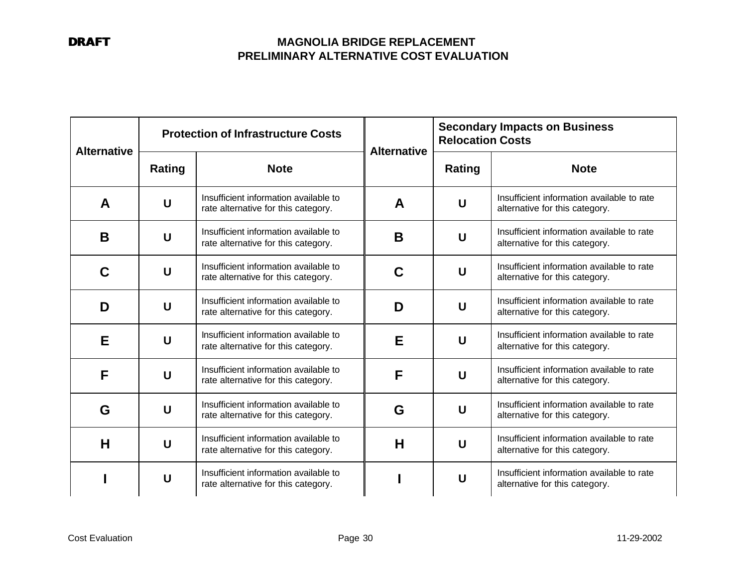| <b>Alternative</b> |              | <b>Protection of Infrastructure Costs</b>                                    | <b>Alternative</b> | <b>Secondary Impacts on Business</b><br><b>Relocation Costs</b> |                                                                              |  |
|--------------------|--------------|------------------------------------------------------------------------------|--------------------|-----------------------------------------------------------------|------------------------------------------------------------------------------|--|
|                    | Rating       | <b>Note</b>                                                                  |                    | Rating                                                          | <b>Note</b>                                                                  |  |
| A                  | U            | Insufficient information available to<br>rate alternative for this category. | A                  | U                                                               | Insufficient information available to rate<br>alternative for this category. |  |
| B                  | U            | Insufficient information available to<br>rate alternative for this category. | B                  | U                                                               | Insufficient information available to rate<br>alternative for this category. |  |
| C                  | $\mathbf{U}$ | Insufficient information available to<br>rate alternative for this category. | C                  | U                                                               | Insufficient information available to rate<br>alternative for this category. |  |
| D                  | U            | Insufficient information available to<br>rate alternative for this category. | D                  | U                                                               | Insufficient information available to rate<br>alternative for this category. |  |
| Е                  | U            | Insufficient information available to<br>rate alternative for this category. | Е                  | U                                                               | Insufficient information available to rate<br>alternative for this category. |  |
| F                  | U            | Insufficient information available to<br>rate alternative for this category. | F                  | U                                                               | Insufficient information available to rate<br>alternative for this category. |  |
| G                  | U            | Insufficient information available to<br>rate alternative for this category. | G                  | U                                                               | Insufficient information available to rate<br>alternative for this category. |  |
| H                  | U            | Insufficient information available to<br>rate alternative for this category. | Н                  | U                                                               | Insufficient information available to rate<br>alternative for this category. |  |
|                    | U            | Insufficient information available to<br>rate alternative for this category. |                    | U                                                               | Insufficient information available to rate<br>alternative for this category. |  |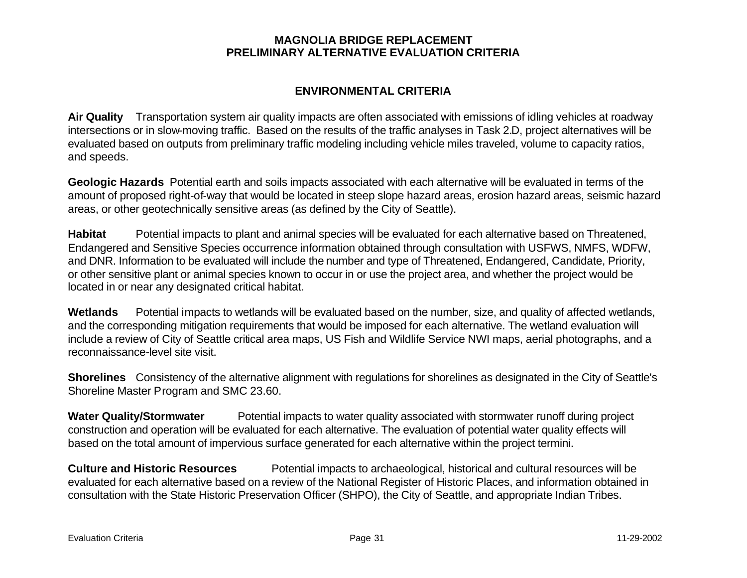# **ENVIRONMENTAL CRITERIA**

**Air Quality** Transportation system air quality impacts are often associated with emissions of idling vehicles at roadway intersections or in slow-moving traffic. Based on the results of the traffic analyses in Task 2.D, project alternatives will be evaluated based on outputs from preliminary traffic modeling including vehicle miles traveled, volume to capacity ratios, and speeds.

**Geologic Hazards** Potential earth and soils impacts associated with each alternative will be evaluated in terms of the amount of proposed right-of-way that would be located in steep slope hazard areas, erosion hazard areas, seismic hazard areas, or other geotechnically sensitive areas (as defined by the City of Seattle).

**Habitat** Potential impacts to plant and animal species will be evaluated for each alternative based on Threatened, Endangered and Sensitive Species occurrence information obtained through consultation with USFWS, NMFS, WDFW, and DNR. Information to be evaluated will include the number and type of Threatened, Endangered, Candidate, Priority, or other sensitive plant or animal species known to occur in or use the project area, and whether the project would be located in or near any designated critical habitat.

**Wetlands** Potential impacts to wetlands will be evaluated based on the number, size, and quality of affected wetlands, and the corresponding mitigation requirements that would be imposed for each alternative. The wetland evaluation will include a review of City of Seattle critical area maps, US Fish and Wildlife Service NWI maps, aerial photographs, and a reconnaissance-level site visit.

**Shorelines** Consistency of the alternative alignment with regulations for shorelines as designated in the City of Seattle's Shoreline Master Program and SMC 23.60.

Water Quality/Stormwater **Potential impacts to water quality associated with stormwater runoff during project** construction and operation will be evaluated for each alternative. The evaluation of potential water quality effects will based on the total amount of impervious surface generated for each alternative within the project termini.

**Culture and Historic Resources** Potential impacts to archaeological, historical and cultural resources will be evaluated for each alternative based on a review of the National Register of Historic Places, and information obtained in consultation with the State Historic Preservation Officer (SHPO), the City of Seattle, and appropriate Indian Tribes.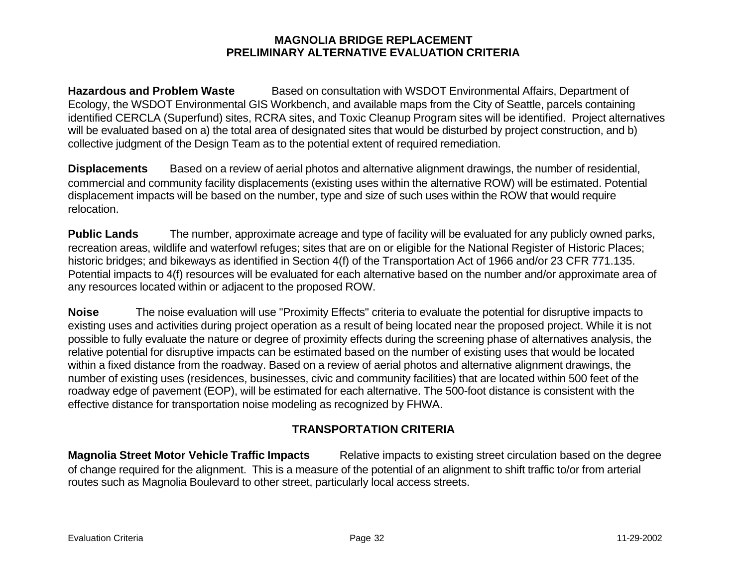**Hazardous and Problem Waste** Based on consultation with WSDOT Environmental Affairs, Department of Ecology, the WSDOT Environmental GIS Workbench, and available maps from the City of Seattle, parcels containing identified CERCLA (Superfund) sites, RCRA sites, and Toxic Cleanup Program sites will be identified. Project alternatives will be evaluated based on a) the total area of designated sites that would be disturbed by project construction, and b) collective judgment of the Design Team as to the potential extent of required remediation.

**Displacements** Based on a review of aerial photos and alternative alignment drawings, the number of residential, commercial and community facility displacements (existing uses within the alternative ROW) will be estimated. Potential displacement impacts will be based on the number, type and size of such uses within the ROW that would require relocation.

**Public Lands** The number, approximate acreage and type of facility will be evaluated for any publicly owned parks, recreation areas, wildlife and waterfowl refuges; sites that are on or eligible for the National Register of Historic Places; historic bridges; and bikeways as identified in Section 4(f) of the Transportation Act of 1966 and/or 23 CFR 771.135. Potential impacts to 4(f) resources will be evaluated for each alternative based on the number and/or approximate area of any resources located within or adjacent to the proposed ROW.

**Noise** The noise evaluation will use "Proximity Effects" criteria to evaluate the potential for disruptive impacts to existing uses and activities during project operation as a result of being located near the proposed project. While it is not possible to fully evaluate the nature or degree of proximity effects during the screening phase of alternatives analysis, the relative potential for disruptive impacts can be estimated based on the number of existing uses that would be located within a fixed distance from the roadway. Based on a review of aerial photos and alternative alignment drawings, the number of existing uses (residences, businesses, civic and community facilities) that are located within 500 feet of the roadway edge of pavement (EOP), will be estimated for each alternative. The 500-foot distance is consistent with the effective distance for transportation noise modeling as recognized by FHWA.

# **TRANSPORTATION CRITERIA**

**Magnolia Street Motor Vehicle Traffic Impacts** Relative impacts to existing street circulation based on the degree of change required for the alignment. This is a measure of the potential of an alignment to shift traffic to/or from arterial routes such as Magnolia Boulevard to other street, particularly local access streets.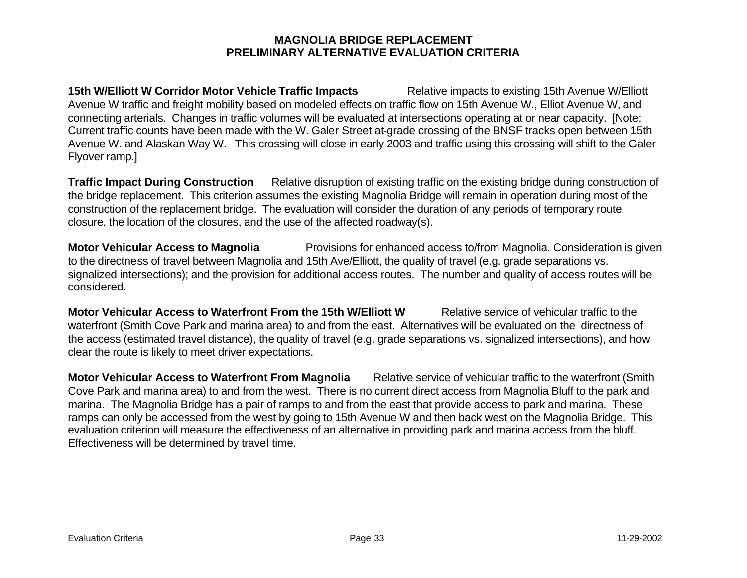**15th W/Elliott W Corridor Motor Vehicle Traffic Impacts** Relative impacts to existing 15th Avenue W/Elliott Avenue W traffic and freight mobility based on modeled effects on traffic flow on 15th Avenue W., Elliot Avenue W, and connecting arterials. Changes in traffic volumes will be evaluated at intersections operating at or near capacity. [Note: Current traffic counts have been made with the W. Galer Street at-grade crossing of the BNSF tracks open between 15th Avenue W. and Alaskan Way W. This crossing will close in early 2003 and traffic using this crossing will shift to the Galer Flyover ramp.]

**Traffic Impact During Construction** Relative disruption of existing traffic on the existing bridge during construction of the bridge replacement. This criterion assumes the existing Magnolia Bridge will remain in operation during most of the construction of the replacement bridge. The evaluation will consider the duration of any periods of temporary route closure, the location of the closures, and the use of the affected roadway(s).

**Motor Vehicular Access to Magnolia** Provisions for enhanced access to/from Magnolia. Consideration is given to the directness of travel between Magnolia and 15th Ave/Elliott, the quality of travel (e.g. grade separations vs. signalized intersections); and the provision for additional access routes. The number and quality of access routes will be considered.

**Motor Vehicular Access to Waterfront From the 15th W/Elliott W** Relative service of vehicular traffic to the waterfront (Smith Cove Park and marina area) to and from the east. Alternatives will be evaluated on the directness of the access (estimated travel distance), the quality of travel (e.g. grade separations vs. signalized intersections), and how clear the route is likely to meet driver expectations.

**Motor Vehicular Access to Waterfront From Magnolia** Relative service of vehicular traffic to the waterfront (Smith Cove Park and marina area) to and from the west. There is no current direct access from Magnolia Bluff to the park and marina. The Magnolia Bridge has a pair of ramps to and from the east that provide access to park and marina. These ramps can only be accessed from the west by going to 15th Avenue W and then back west on the Magnolia Bridge. This evaluation criterion will measure the effectiveness of an alternative in providing park and marina access from the bluff. Effectiveness will be determined by travel time.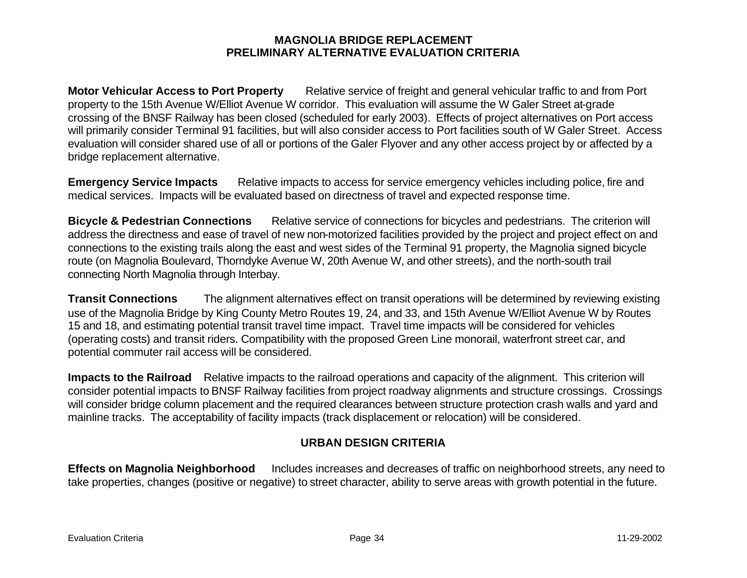**Motor Vehicular Access to Port Property** Relative service of freight and general vehicular traffic to and from Port property to the 15th Avenue W/Elliot Avenue W corridor. This evaluation will assume the W Galer Street at-grade crossing of the BNSF Railway has been closed (scheduled for early 2003). Effects of project alternatives on Port access will primarily consider Terminal 91 facilities, but will also consider access to Port facilities south of W Galer Street. Access evaluation will consider shared use of all or portions of the Galer Flyover and any other access project by or affected by a bridge replacement alternative.

**Emergency Service Impacts** Relative impacts to access for service emergency vehicles including police, fire and medical services. Impacts will be evaluated based on directness of travel and expected response time.

**Bicycle & Pedestrian Connections** Relative service of connections for bicycles and pedestrians. The criterion will address the directness and ease of travel of new non-motorized facilities provided by the project and project effect on and connections to the existing trails along the east and west sides of the Terminal 91 property, the Magnolia signed bicycle route (on Magnolia Boulevard, Thorndyke Avenue W, 20th Avenue W, and other streets), and the north-south trail connecting North Magnolia through Interbay.

**Transit Connections** The alignment alternatives effect on transit operations will be determined by reviewing existing use of the Magnolia Bridge by King County Metro Routes 19, 24, and 33, and 15th Avenue W/Elliot Avenue W by Routes 15 and 18, and estimating potential transit travel time impact. Travel time impacts will be considered for vehicles (operating costs) and transit riders. Compatibility with the proposed Green Line monorail, waterfront street car, and potential commuter rail access will be considered.

**Impacts to the Railroad** Relative impacts to the railroad operations and capacity of the alignment. This criterion will consider potential impacts to BNSF Railway facilities from project roadway alignments and structure crossings. Crossings will consider bridge column placement and the required clearances between structure protection crash walls and yard and mainline tracks. The acceptability of facility impacts (track displacement or relocation) will be considered.

# **URBAN DESIGN CRITERIA**

**Effects on Magnolia Neighborhood** Includes increases and decreases of traffic on neighborhood streets, any need to take properties, changes (positive or negative) to street character, ability to serve areas with growth potential in the future.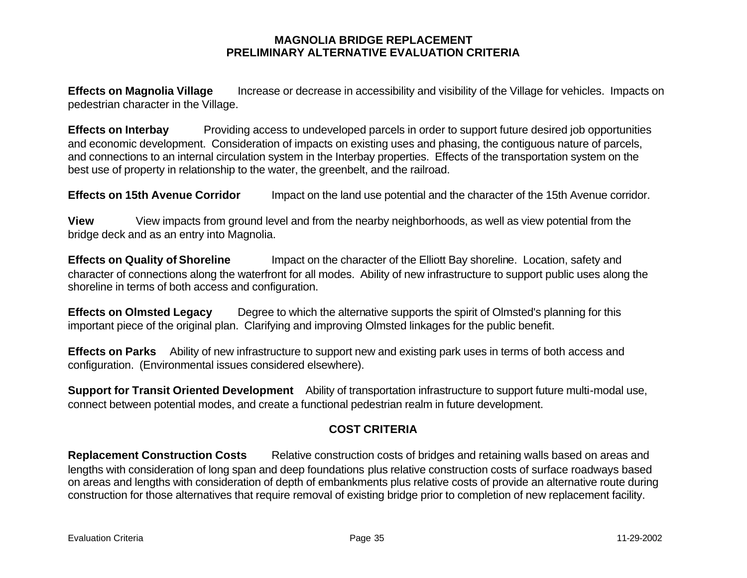**Effects on Magnolia Village** Increase or decrease in accessibility and visibility of the Village for vehicles. Impacts on pedestrian character in the Village.

**Effects on Interbay** Providing access to undeveloped parcels in order to support future desired job opportunities and economic development. Consideration of impacts on existing uses and phasing, the contiguous nature of parcels, and connections to an internal circulation system in the Interbay properties. Effects of the transportation system on the best use of property in relationship to the water, the greenbelt, and the railroad.

**Effects on 15th Avenue Corridor** Impact on the land use potential and the character of the 15th Avenue corridor.

**View** View impacts from ground level and from the nearby neighborhoods, as well as view potential from the bridge deck and as an entry into Magnolia.

**Effects on Quality of Shoreline** Impact on the character of the Elliott Bay shoreline. Location, safety and character of connections along the waterfront for all modes. Ability of new infrastructure to support public uses along the shoreline in terms of both access and configuration.

**Effects on Olmsted Legacy** Degree to which the alternative supports the spirit of Olmsted's planning for this important piece of the original plan. Clarifying and improving Olmsted linkages for the public benefit.

**Effects on Parks** Ability of new infrastructure to support new and existing park uses in terms of both access and configuration. (Environmental issues considered elsewhere).

**Support for Transit Oriented Development** Ability of transportation infrastructure to support future multi-modal use, connect between potential modes, and create a functional pedestrian realm in future development.

# **COST CRITERIA**

**Replacement Construction Costs** Relative construction costs of bridges and retaining walls based on areas and lengths with consideration of long span and deep foundations plus relative construction costs of surface roadways based on areas and lengths with consideration of depth of embankments plus relative costs of provide an alternative route during construction for those alternatives that require removal of existing bridge prior to completion of new replacement facility.